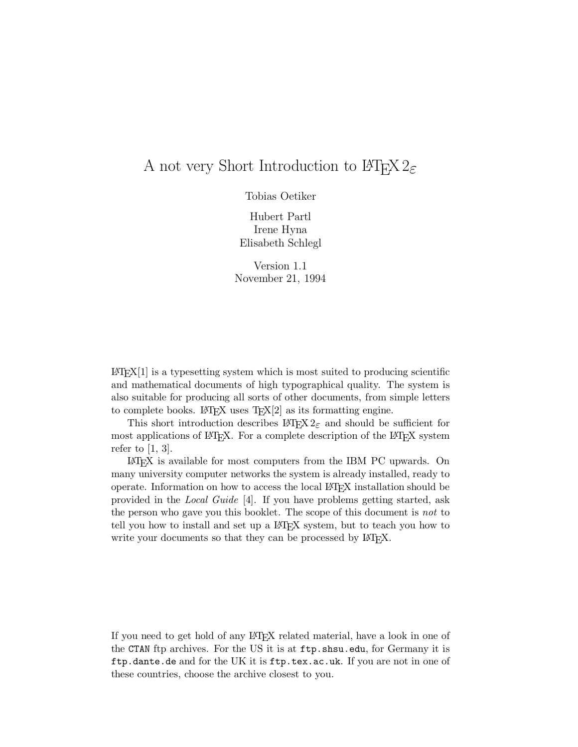## A not very Short Introduction to  $\angle M_{\text{F}} X2_{\epsilon}$

Tobias Oetiker

Hubert Partl Irene Hyna Elisabeth Schlegl

Version 1.1 November 21,1994

 $\text{LATEX}[1]$  is a typesetting system which is most suited to producing scientific and mathematical documents of high typographical quality. The system is also suitable for producing all sorts of other documents, from simple letters to complete books. LAT<sub>E</sub>X uses  $T_{E}X[2]$  as its formatting engine.

This short introduction describes  $\text{LipX } 2_{\varepsilon}$  and should be sufficient for most applications of LAT<sub>EX</sub>. For a complete description of the LAT<sub>EX</sub> system refer to  $[1, 3]$ .

LATEX is available for most computers from the IBM PC upwards. On many university computer networks the system is already installed, ready to operate. Information on how to access the local LATEX installation should be provided in the *Local Guide* [4]. If you have problems getting started, ask the person who gave you this booklet. The scope of this document is *not* to tell you how to install and set up a LATEX system, but to teach you how to write your documents so that they can be processed by IATEX.

If you need to get hold of any LATEX related material, have a lookin one of the CTAN ftp archives. For the US it is at ftp.shsu.edu, for Germany it is ftp.dante.de and for the UK it is ftp.tex.ac.uk. If you are not in one of these countries, choose the archive closest to you.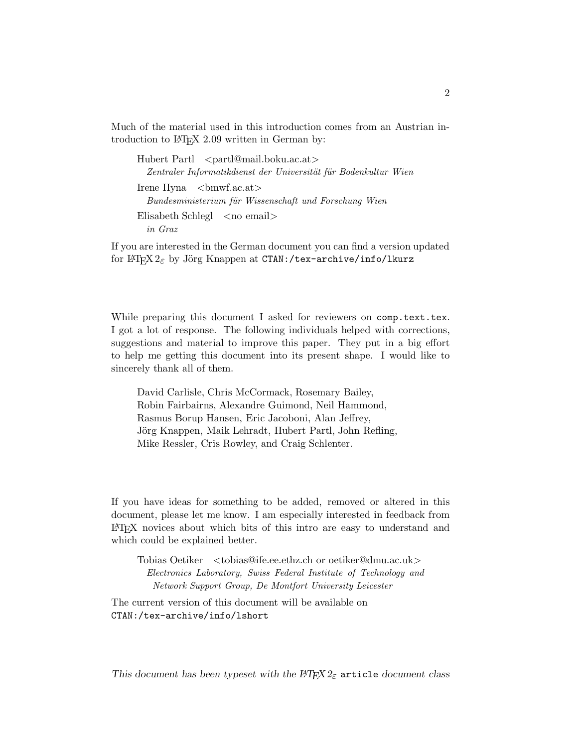Much of the material used in this introduction comes from an Austrian introduction to LAT<sub>E</sub>X 2.09 written in German by:

Hubert Partl <partl@mail.boku.ac.at> Zentraler Informatikdienst der Universität für Bodenkultur Wien Irene Hyna <br/> <br/> <br/> <br/> <br/> <br/> <br/> <br/> <br/> <br/> <br/> <br/> <br/> <br/> <br/> <br/> <br/> <br/> <br/> <br/> <br/><br/> $\sim$  <br/> $\sim$  <br/> $\sim$  <br/> $\sim$  <br/> $\sim$  <br/> $\sim$  <br/> $\sim$  <br/> $\sim$ *Bundesministerium f¨ur Wissenschaft und Forschung Wien*  $E$ lisabeth Schlegl  $\langle$ no email $\rangle$ *in Graz*

If you are interested in the German document you can find a version updated for LAT<sub>E</sub>X  $2\varepsilon$  by Jörg Knappen at CTAN:/tex-archive/info/lkurz

While preparing this document I asked for reviewers on comp.text.tex. I got a lot of response. The following individuals helped with corrections, suggestions and material to improve this paper. They put in a big effort to help me getting this document into its present shape. I would like to sincerely thank all of them.

David Carlisle, Chris McCormack, Rosemary Bailey, Robin Fairbairns, Alexandre Guimond, Neil Hammond, Rasmus Borup Hansen, Eric Jacoboni, Alan Jeffrey, Jörg Knappen, Maik Lehradt, Hubert Partl, John Refling, Mike Ressler, Cris Rowley, and Craig Schlenter.

If you have ideas for something to be added, removed or altered in this document, please let me know. I am especially interested in feedback from LATEX novices about which bits of this intro are easy to understand and which could be explained better.

Tobias Oetiker <tobias@ife.ee.ethz.ch or oetiker@dmu.ac.uk> *Electronics Laboratory, Swiss Federal Institute of Technology and Network Support Group, De Montfort University Leicester*

The current version of this document will be available on CTAN:/tex-archive/info/lshort

*This document has been typeset with the*  $\angle$ *<i>P<sub>IE</sub>X*  $2_{\epsilon}$  article *document class*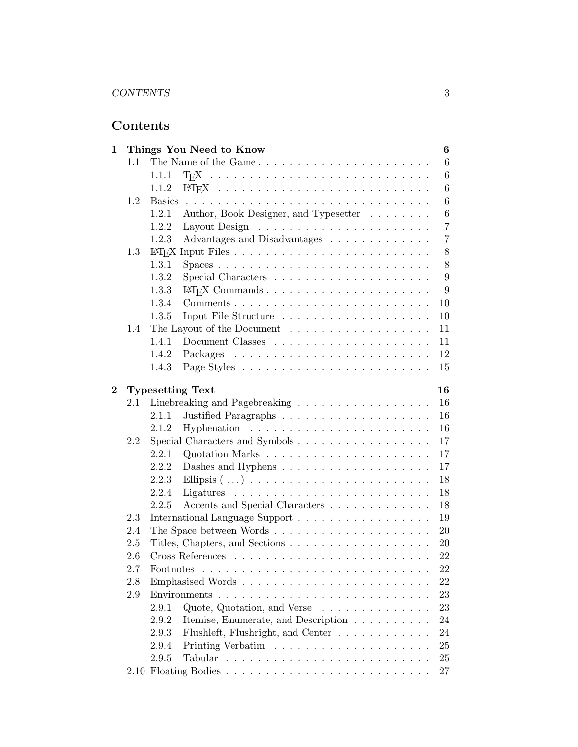# **Contents**

| 1                                          |                             |               | Things You Need to Know                                          | 6              |
|--------------------------------------------|-----------------------------|---------------|------------------------------------------------------------------|----------------|
|                                            | 1.1<br>The Name of the Game |               | 6                                                                |                |
|                                            |                             | 1.1.1         |                                                                  | 6              |
|                                            |                             | 1.1.2         |                                                                  | 6              |
|                                            | 1.2                         | <b>Basics</b> |                                                                  | 6              |
|                                            |                             | 1.2.1         | Author, Book Designer, and Typesetter                            | 6              |
|                                            |                             | 1.2.2         |                                                                  | 7              |
|                                            |                             | 1.2.3         | Advantages and Disadvantages                                     | $\overline{7}$ |
|                                            | 1.3                         |               |                                                                  | 8              |
|                                            |                             | 1.3.1         |                                                                  | $8\,$          |
|                                            |                             | 1.3.2         |                                                                  | 9              |
|                                            |                             | 1.3.3         |                                                                  | 9              |
|                                            |                             | 1.3.4         |                                                                  | 10             |
|                                            |                             | 1.3.5         |                                                                  | 10             |
|                                            | 1.4                         |               |                                                                  | 11             |
|                                            |                             | 1.4.1         |                                                                  | 11             |
|                                            |                             | 1.4.2         |                                                                  | 12             |
|                                            |                             | 1.4.3         |                                                                  | 15             |
|                                            |                             |               |                                                                  | 16             |
| $\bf{2}$<br><b>Typesetting Text</b><br>2.1 |                             | 16            |                                                                  |                |
|                                            |                             | 2.1.1         | Linebreaking and Pagebreaking                                    | 16             |
|                                            |                             | 2.1.2         |                                                                  | 16             |
|                                            | 2.2                         |               |                                                                  | 17             |
|                                            |                             | 2.2.1         |                                                                  | 17             |
|                                            |                             | 2.2.2         |                                                                  | 17             |
|                                            |                             | 2.2.3         | Dashes and Hyphens $\dots \dots \dots \dots \dots \dots \dots$   | 18             |
|                                            |                             | 2.2.4         |                                                                  | 18             |
|                                            |                             | 2.2.5         |                                                                  | 18             |
|                                            | 2.3                         |               | Accents and Special Characters<br>International Language Support | 19             |
|                                            | 2.4                         |               |                                                                  | 20             |
|                                            | 2.5                         |               |                                                                  | 20             |
|                                            | 2.6                         |               |                                                                  | 22             |
|                                            | 2.7                         | Footnotes     |                                                                  | 22             |
|                                            | 2.8                         |               |                                                                  | 22             |
|                                            | 2.9                         |               |                                                                  | 23             |
|                                            |                             | 2.9.1         | Quote, Quotation, and Verse $\dots \dots \dots \dots \dots$      | 23             |
|                                            |                             | 2.9.2         | Itemise, Enumerate, and Description                              | 24             |
|                                            |                             | 2.9.3         | Flushleft, Flushright, and Center                                | 24             |
|                                            |                             | 2.9.4         |                                                                  | 25             |
|                                            |                             | 2.9.5         | Tabular                                                          | $25\,$         |
|                                            |                             |               |                                                                  | 27             |
|                                            |                             |               |                                                                  |                |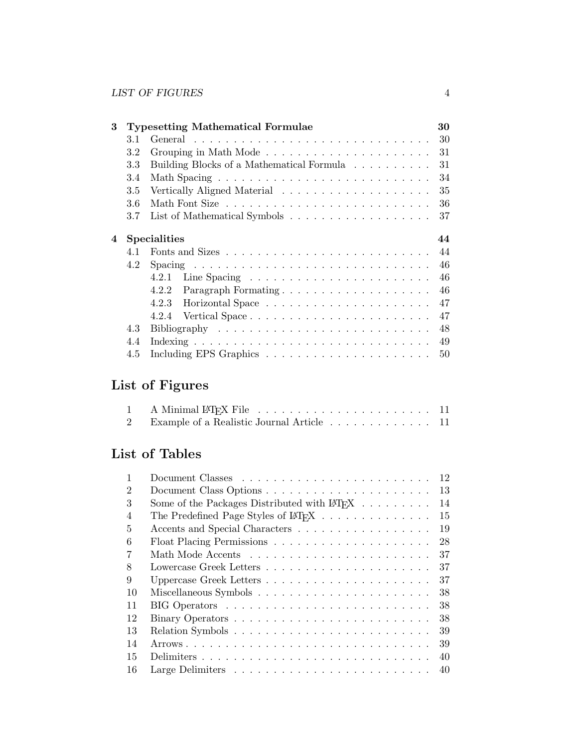| 3 |     | <b>Typesetting Mathematical Formulae</b>                                        | 30 |
|---|-----|---------------------------------------------------------------------------------|----|
|   | 3.1 | General $\ldots \ldots \ldots \ldots \ldots \ldots \ldots \ldots \ldots \ldots$ | 30 |
|   | 3.2 |                                                                                 | 31 |
|   | 3.3 | Building Blocks of a Mathematical Formula                                       | 31 |
|   | 3.4 |                                                                                 | 34 |
|   | 3.5 | Vertically Aligned Material                                                     | 35 |
|   | 3.6 |                                                                                 | 36 |
|   | 3.7 |                                                                                 | 37 |
| 4 |     | <b>Specialities</b>                                                             | 44 |
|   | 4.1 |                                                                                 | 44 |
|   | 4.2 |                                                                                 | 46 |
|   |     | Line Spacing $\ldots \ldots \ldots \ldots \ldots \ldots \ldots \ldots$<br>4.2.1 | 46 |
|   |     | 4.2.2                                                                           | 46 |
|   |     | 4.2.3                                                                           | 47 |
|   |     | Vertical Space<br>4.2.4                                                         | 47 |
|   | 4.3 |                                                                                 | 48 |
|   | 4.4 |                                                                                 | 49 |
|   | 4.5 |                                                                                 | 50 |

# **List of Figures**

| 2 Example of a Realistic Journal Article 11 |  |
|---------------------------------------------|--|

# **List of Tables**

| 1              |                                                                             | 12 |
|----------------|-----------------------------------------------------------------------------|----|
| 2              | Document Class Options                                                      | 13 |
| 3              | Some of the Packages Distributed with $\mathbb{A}T_F X$                     | 14 |
| $\overline{4}$ | The Predefined Page Styles of $\mathbb{M}F[X \dots \dots \dots \dots \dots$ | 15 |
| 5              | Accents and Special Characters                                              | 19 |
| 6              |                                                                             | 28 |
| 7              |                                                                             | 37 |
| 8              |                                                                             | 37 |
| 9              |                                                                             | 37 |
| 10             |                                                                             | 38 |
| 11             |                                                                             | 38 |
| 12             |                                                                             | 38 |
| 13             |                                                                             | 39 |
| 14             |                                                                             | 39 |
| 15             | Delimiters                                                                  | 40 |
| 16             |                                                                             |    |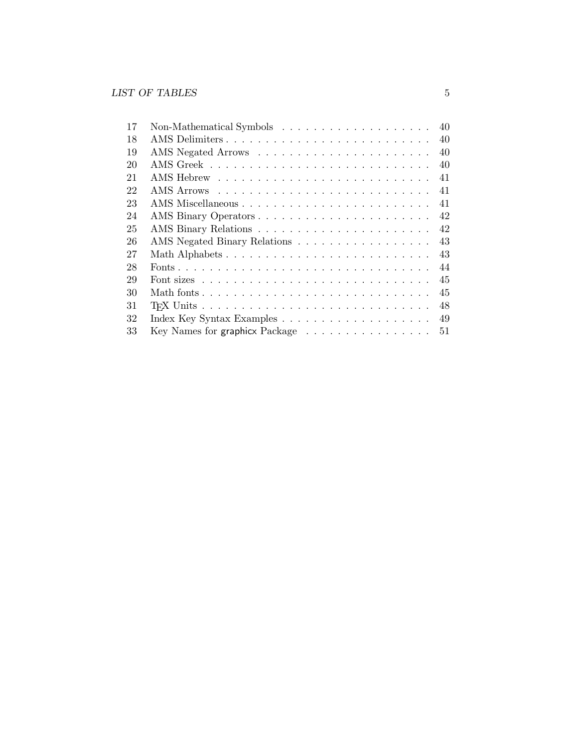| 17 | Non-Mathematical Symbols $\dots \dots \dots \dots \dots \dots \dots$             | 40 |
|----|----------------------------------------------------------------------------------|----|
| 18 |                                                                                  | 40 |
| 19 |                                                                                  | 40 |
| 20 |                                                                                  | 40 |
| 21 |                                                                                  | 41 |
| 22 |                                                                                  | 41 |
| 23 |                                                                                  | 41 |
| 24 |                                                                                  | 42 |
| 25 |                                                                                  | 42 |
| 26 | AMS Negated Binary Relations                                                     | 43 |
| 27 |                                                                                  | 43 |
| 28 |                                                                                  | 44 |
| 29 |                                                                                  | 45 |
| 30 |                                                                                  | 45 |
| 31 |                                                                                  | 48 |
| 32 |                                                                                  | 49 |
| 33 | Key Names for graphicx Package $\dots \dots \dots \dots \dots \dots \dots \dots$ |    |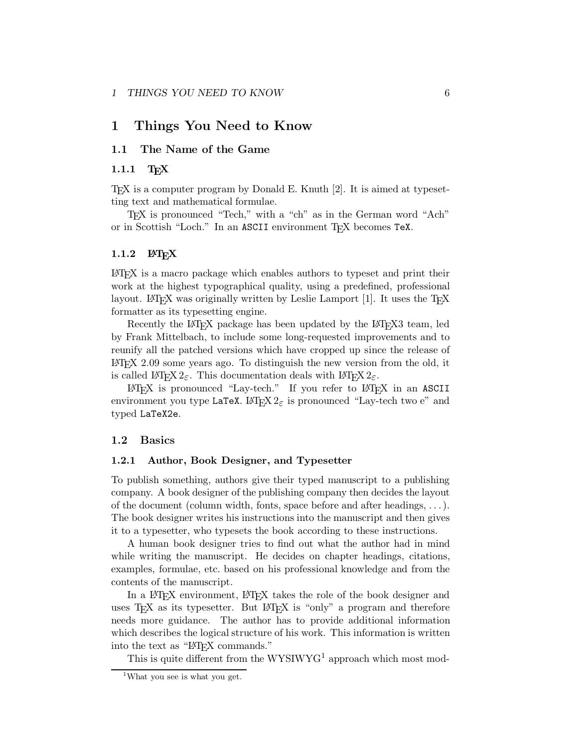## **1 Things You Need to Know**

## **1.1 The Name of the Game**

### 1.1.1 T<sub>F</sub>X

TEX is a computer program by Donald E. Knuth [2]. It is aimed at typesetting text and mathematical formulae.

TEX is pronounced "Tech," with a "ch" as in the German word "Ach" or in Scottish "Loch." In an ASCII environment TEX becomes TeX.

#### 1.1.2 **LATEX**

LATEX is a macro package which enables authors to typeset and print their workat the highest typographical quality, using a predefined, professional layout. LATEX was originally written by Leslie Lamport  $[1]$ . It uses the TEX formatter as its typesetting engine.

Recently the LAT<sub>E</sub>X package has been updated by the LAT<sub>E</sub>X3 team, led by FrankMittelbach, to include some long-requested improvements and to reunify all the patched versions which have cropped up since the release of LATEX 2.09 some years ago. To distinguish the new version from the old, it is called LATEX  $2\varepsilon$ . This documentation deals with LATEX  $2\varepsilon$ .

LATEX is pronounced "Lay-tech." If you refer to LATEX in an ASCII environment you type LaTeX.  $\text{LATEX } 2\varepsilon$  is pronounced "Lay-tech two e" and typed LaTeX2e.

#### **1.2 Basics**

#### **1.2.1 Author, Book Designer, and Typesetter**

To publish something, authors give their typed manuscript to a publishing company. A book designer of the publishing company then decides the layout of the document (column width, fonts, space before and after headings,  $\dots$ ). The book designer writes his instructions into the manuscript and then gives it to a typesetter, who typesets the book according to these instructions.

A human book designer tries to find out what the author had in mind while writing the manuscript. He decides on chapter headings, citations, examples, formulae, etc. based on his professional knowledge and from the contents of the manuscript.

In a LAT<sub>E</sub>X environment, LAT<sub>E</sub>X takes the role of the book designer and uses  $T_{\text{F}}X$  as its typesetter. But  $\text{LFT}_{\text{F}}X$  is "only" a program and therefore needs more guidance. The author has to provide additional information which describes the logical structure of his work. This information is written into the text as "LAT<sub>EX</sub> commands."

This is quite different from the  $WYSIWYG<sup>1</sup>$  approach which most mod-

<sup>&</sup>lt;sup>1</sup>What you see is what you get.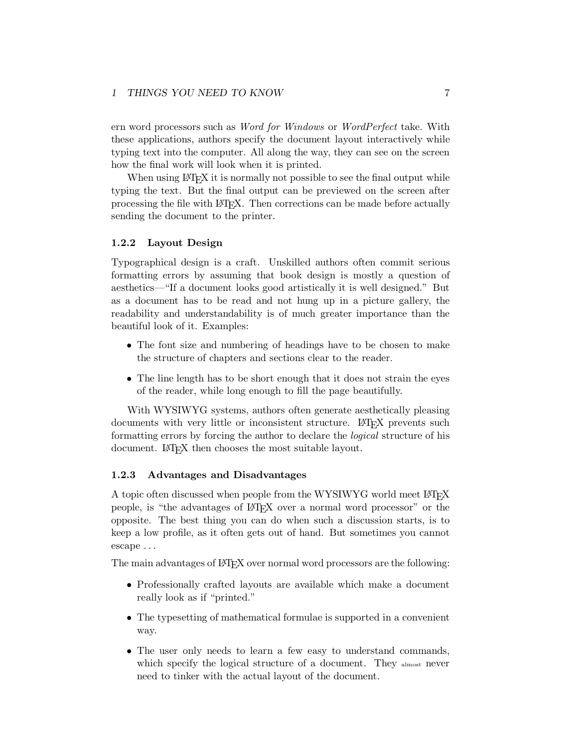ern word processors such as *Word for Windows* or *WordPerfect* take. With these applications, authors specify the document layout interactively while typing text into the computer. All along the way, they can see on the screen how the final work will look when it is printed.

When using LAT<sub>EX</sub> it is normally not possible to see the final output while typing the text. But the final output can be previewed on the screen after processing the file with LATEX. Then corrections can be made before actually sending the document to the printer.

#### **1.2.2 Layout Design**

Typographical design is a craft. Unskilled authors often commit serious formatting errors by assuming that book design is mostly a question of aesthetics—"If a document looks good artistically it is well designed." But as a document has to be read and not hung up in a picture gallery, the readability and understandability is of much greater importance than the beautiful look of it. Examples:

- The font size and numbering of headings have to be chosen to make the structure of chapters and sections clear to the reader.
- The line length has to be short enough that it does not strain the eyes of the reader, while long enough to fill the page beautifully.

With WYSIWYG systems, authors often generate aesthetically pleasing documents with very little or inconsistent structure. LAT<sub>EX</sub> prevents such formatting errors by forcing the author to declare the *logical* structure of his document. LATEX then chooses the most suitable layout.

#### **1.2.3 Advantages and Disadvantages**

A topic often discussed when people from the WYSIWYG world meet LATEX people, is "the advantages of LATEX over a normal word processor" or the opposite. The best thing you can do when such a discussion starts, is to keep a low profile, as it often gets out of hand. But sometimes you cannot escape ...

The main advantages of LAT<sub>EX</sub> over normal word processors are the following:

- Professionally crafted layouts are available which make a document really look as if "printed."
- The typesetting of mathematical formulae is supported in a convenient way.
- The user only needs to learn a few easy to understand commands, which specify the logical structure of a document. They almost never need to tinker with the actual layout of the document.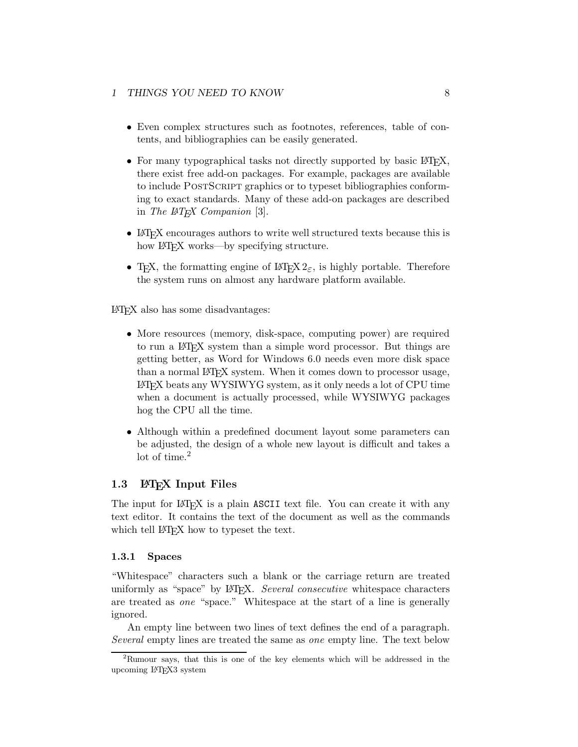- Even complex structures such as footnotes, references, table of contents, and bibliographies can be easily generated.
- For many typographical tasks not directly supported by basic  $\mathbb{F}T\mathbb{F}X$ , there exist free add-on packages. For example, packages are available to include POSTSCRIPT graphics or to typeset bibliographies conforming to exact standards. Many of these add-on packages are described in *The LATEX Companion* [3].
- LAT<sub>EX</sub> encourages authors to write well structured texts because this is how LAT<sub>EX</sub> works—by specifying structure.
- T<sub>E</sub>X, the formatting engine of LAT<sub>E</sub>X  $2<sub>\epsilon</sub>$ , is highly portable. Therefore the system runs on almost any hardware platform available.

LATEX also has some disadvantages:

- More resources (memory, disk-space, computing power) are required to run a LATEX system than a simple word processor. But things are getting better, as Word for Windows 6.0 needs even more disk space than a normal LATEX system. When it comes down to processor usage, LATEX beats any WYSIWYG system, as it only needs a lot of CPU time when a document is actually processed, while WYSIWYG packages hog the CPU all the time.
- Although within a predefined document layout some parameters can be adjusted, the design of a whole new layout is difficult and takes a lot of time.<sup>2</sup>

### 1.3 **LAPAIFIN Input Files**

The input for LAT<sub>EX</sub> is a plain ASCII text file. You can create it with any text editor. It contains the text of the document as well as the commands which tell LAT<sub>EX</sub> how to typeset the text.

#### **1.3.1 Spaces**

"Whitespace" characters such a blank or the carriage return are treated uniformly as "space" by LAT<sub>E</sub>X. *Several consecutive* whitespace characters are treated as *one* "space." Whitespace at the start of a line is generally ignored.

An empty line between two lines of text defines the end of a paragraph. *Several* empty lines are treated the same as *one* empty line. The text below

<sup>2</sup>Rumour says, that this is one of the key elements which will be addressed in the upcoming LATEX3 system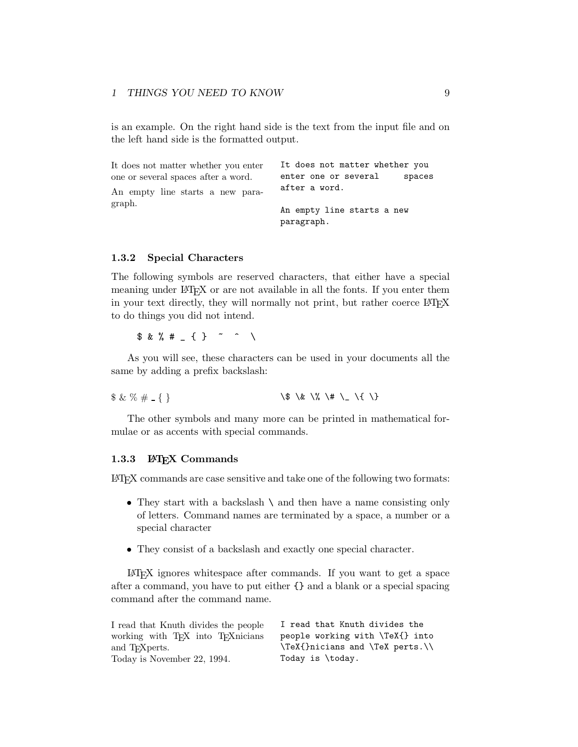is an example. On the right hand side is the text from the input file and on the left hand side is the formatted output.

| It does not matter whether you enter | It does not matter whether you           |
|--------------------------------------|------------------------------------------|
| one or several spaces after a word.  | enter one or several<br>spaces           |
| An empty line starts a new para-     | after a word.                            |
| graph.                               | An empty line starts a new<br>paragraph. |

#### **1.3.2 Special Characters**

The following symbols are reserved characters, that either have a special meaning under LATEX or are not available in all the fonts. If you enter them in your text directly, they will normally not print, but rather coerce LATEX to do things you did not intend.

 $$ 8 % # _ {\frac{1}{2} }$   $\left\{ \begin{array}{ccc} & \circ & \circ & \circ \\ & & \circ & \circ \end{array} \right\}$ 

As you will see, these characters can be used in your documents all the same by adding a prefix backslash:

 $$ & % \# _{\{ \}}$ 

The other symbols and many more can be printed in mathematical formulae or as accents with special commands.

#### **1.3.3 LATEX Commands**

LATEX commands are case sensitive and take one of the following two formats:

- They start with a backslash  $\setminus$  and then have a name consisting only of letters. Command names are terminated by a space, a number or a special character
- They consist of a backslash and exactly one special character.

LATEX ignores whitespace after commands. If you want to get a space after a command, you have to put either  $\{\}$  and a blank or a special spacing command after the command name.

| I read that Knuth divides the people                        | I read that Knuth divides the   |
|-------------------------------------------------------------|---------------------------------|
| working with T <sub>F</sub> X into T <sub>F</sub> X nicians | people working with \TeX{} into |
| and T <sub>F</sub> Xperts.                                  | \TeX{}nicians and \TeX perts.\\ |
| Today is November 22, 1994.                                 | Today is \today.                |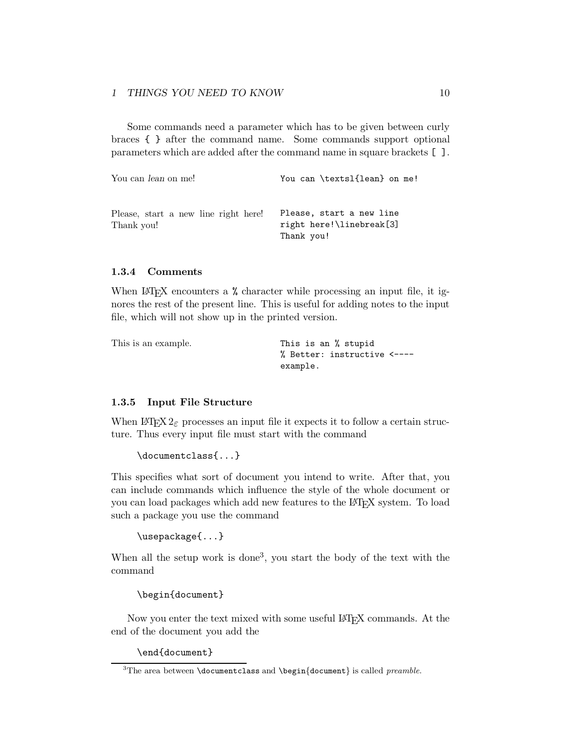Some commands need a parameter which has to be given between curly braces { } after the command name. Some commands support optional parameters which are added after the command name in square brackets [ ].

| You can <i>lean</i> on me!                         | You can \textsl{lean} on me!                                       |
|----------------------------------------------------|--------------------------------------------------------------------|
| Please, start a new line right here!<br>Thank you! | Please, start a new line<br>right here!\linebreak[3]<br>Thank you! |

#### **1.3.4 Comments**

When  $\text{LipX}$  encounters a % character while processing an input file, it ignores the rest of the present line. This is useful for adding notes to the input file, which will not show up in the printed version.

| This is an example. | This is an % stupid         |
|---------------------|-----------------------------|
|                     | % Better: instructive <---- |
|                     | example.                    |

#### **1.3.5 Input File Structure**

When  $\text{Lipx } 2_{\varepsilon}$  processes an input file it expects it to follow a certain structure. Thus every input file must start with the command

```
\documentclass{...}
```
This specifies what sort of document you intend to write. After that, you can include commands which influence the style of the whole document or you can load packages which add new features to the LATEX system. To load such a package you use the command

```
\usepackage{...}
```
When all the setup work is done<sup>3</sup>, you start the body of the text with the command

\begin{document}

Now you enter the text mixed with some useful LAT<sub>EX</sub> commands. At the end of the document you add the

\end{document}

<sup>3</sup>The area between \documentclass and \begin*{*document*}* is called *preamble*.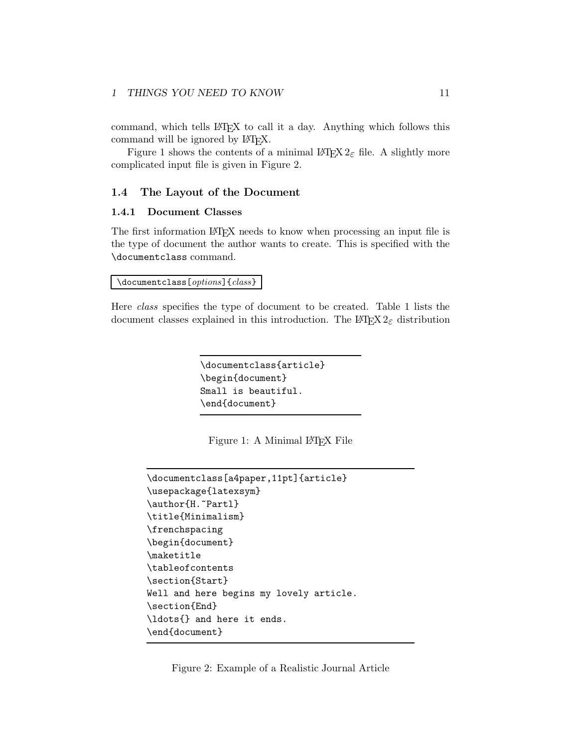command, which tells LATEX to call it a day. Anything which follows this command will be ignored by  $LATEX$ .

Figure 1 shows the contents of a minimal  $\text{LATEX } 2\varepsilon$  file. A slightly more complicated input file is given in Figure 2.

#### **1.4 The Layout of the Document**

#### **1.4.1 Document Classes**

The first information LAT<sub>E</sub>X needs to know when processing an input file is the type of document the author wants to create. This is specified with the \documentclass command.

\documentclass[*options*]{*class*}

Here *class* specifies the type of document to be created. Table 1 lists the document classes explained in this introduction. The  $\text{LATEX} 2_{\epsilon}$  distribution

```
\documentclass{article}
\begin{document}
Small is beautiful.
\end{document}
```
Figure 1: A Minimal L<sup>AT</sup>EX File

```
\documentclass[a4paper,11pt]{article}
\usepackage{latexsym}
\author{H.~Partl}
\title{Minimalism}
\frenchspacing
\begin{document}
\maketitle
\tableofcontents
\section{Start}
Well and here begins my lovely article.
\section{End}
\ldots{} and here it ends.
\end{document}
```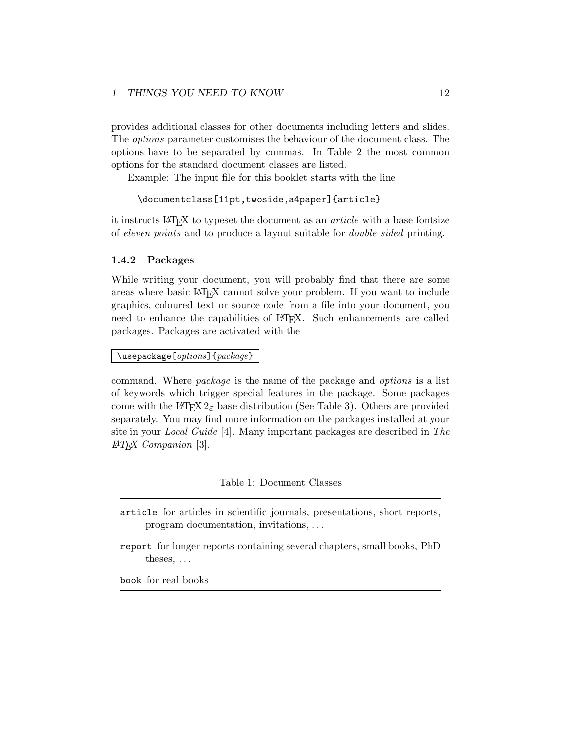provides additional classes for other documents including letters and slides. The *options* parameter customises the behaviour of the document class. The options have to be separated by commas. In Table 2 the most common options for the standard document classes are listed.

Example: The input file for this booklet starts with the line

#### \documentclass[11pt,twoside,a4paper]{article}

it instructs LATEX to typeset the document as an *article* with a base fontsize of *eleven points* and to produce a layout suitable for *double sided* printing.

#### **1.4.2 Packages**

While writing your document, you will probably find that there are some areas where basic LATEX cannot solve your problem. If you want to include graphics, coloured text or source code from a file into your document, you need to enhance the capabilities of LAT<sub>EX</sub>. Such enhancements are called packages. Packages are activated with the

\usepackage[*options*]{*package*}

command. Where *package* is the name of the package and *options* is a list of keywords which trigger special features in the package. Some packages come with the LAT<sub>EX</sub>  $2 \epsilon$  base distribution (See Table 3). Others are provided separately. You may find more information on the packages installed at your site in your *Local Guide* [4]. Many important packages are described in *The LATEX Companion* [3].

### Table 1: Document Classes

- article for articles in scientific journals, presentations, short reports, program documentation, invitations, ...
- report for longer reports containing several chapters, small books, PhD theses, ...

book for real books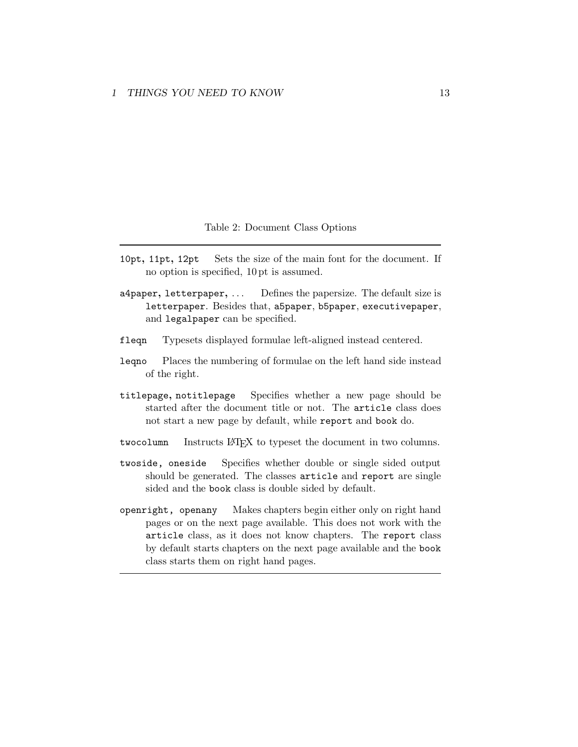#### Table 2: Document Class Options

- 10pt**,** 11pt**,** 12pt Sets the size of the main font for the document. If no option is specified, 10 pt is assumed.
- a4paper**,** letterpaper**,** ... Defines the papersize. The default size is letterpaper. Besides that, a5paper, b5paper, executivepaper, and legalpaper can be specified.
- fleqn Typesets displayed formulae left-aligned instead centered.
- leqno Places the numbering of formulae on the left hand side instead of the right.
- titlepage**,** notitlepage Specifies whether a new page should be started after the document title or not. The article class does not start a new page by default, while report and book do.
- twocolumn Instructs LAT<sub>EX</sub> to typeset the document in two columns.
- twoside, oneside Specifies whether double or single sided output should be generated. The classes article and report are single sided and the book class is double sided by default.
- openright, openany Makes chapters begin either only on right hand pages or on the next page available. This does not work with the article class, as it does not know chapters. The report class by default starts chapters on the next page available and the book class starts them on right hand pages.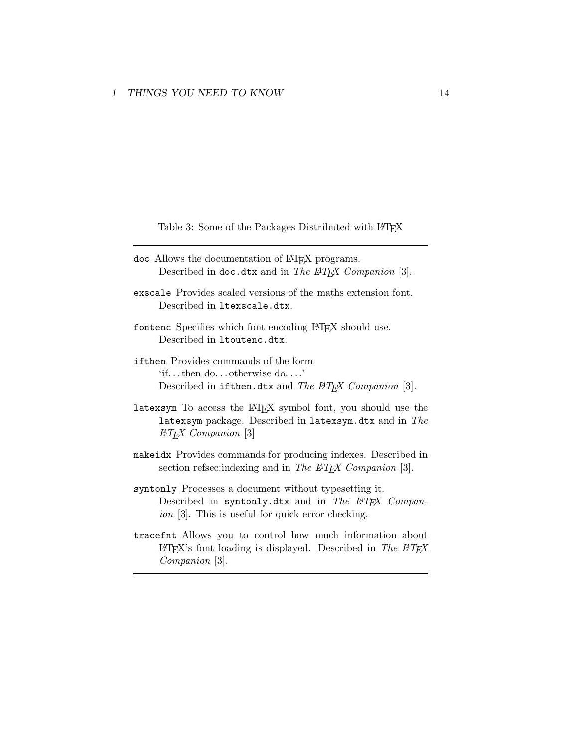Table 3: Some of the Packages Distributed with LATEX

- doc Allows the documentation of LATEX programs. Described in doc.dtx and in *The LATEX Companion* [3].
- exscale Provides scaled versions of the maths extension font. Described in ltexscale.dtx.
- fontenc Specifies which font encoding LATEX should use. Described in ltoutenc.dtx.
- ifthen Provides commands of the form 'if...then do... otherwise do....' Described in ifthen.dtx and *The LATEX Companion* [3].
- latexsym To access the LAT<sub>EX</sub> symbol font, you should use the latexsym package. Described in latexsym.dtx and in *The LATEX Companion* [3]
- makeidx Provides commands for producing indexes. Described in section refsec:indexing and in *The PATEX Companion* [3].
- syntonly Processes a document without typesetting it. Described in syntonly.dtx and in *The LATEX Companion* [3]. This is useful for quick error checking.
- tracefnt Allows you to control how much information about LATEX's font loading is displayed. Described in *The LATEX Companion* [3].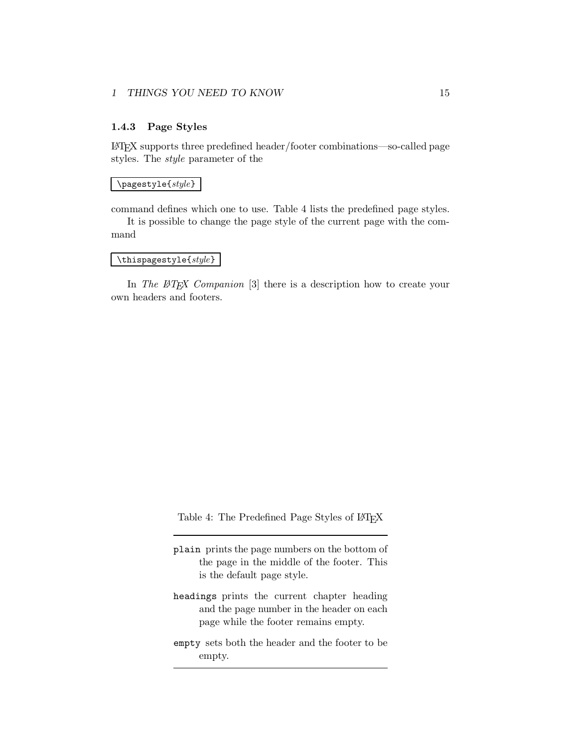#### **1.4.3 Page Styles**

LATEX supports three predefined header/footer combinations—so-called page styles. The *style* parameter of the

#### \pagestyle{*style*}

command defines which one to use. Table 4 lists the predefined page styles.

It is possible to change the page style of the current page with the command

### \thispagestyle{*style*}

In *The L<sup>A</sup>TEX Companion* [3] there is a description how to create your own headers and footers.

Table 4: The Predefined Page Styles of LAT<sub>E</sub>X

plain prints the page numbers on the bottom of the page in the middle of the footer. This is the default page style.

- headings prints the current chapter heading and the page number in the header on each page while the footer remains empty.
- empty sets both the header and the footer to be empty.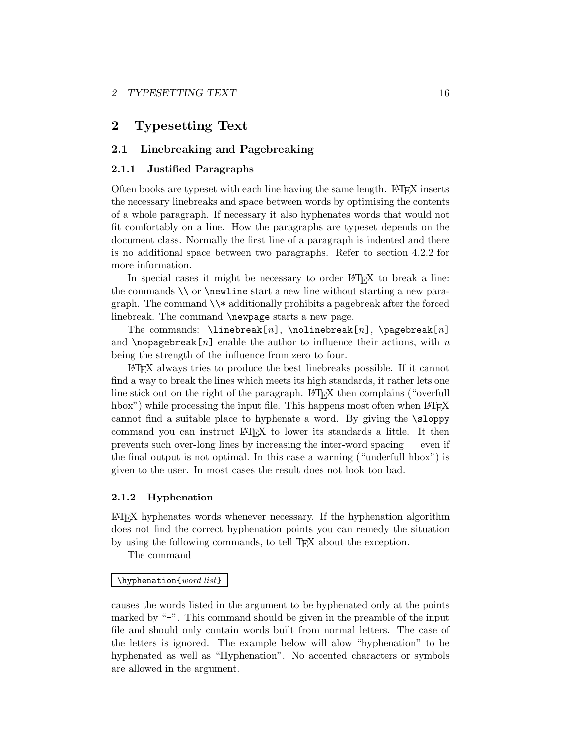## **2 Typesetting Text**

## **2.1 Linebreaking and Pagebreaking**

#### **2.1.1 Justified Paragraphs**

Often books are typeset with each line having the same length. LATEX inserts the necessary linebreaks and space between words by optimising the contents of a whole paragraph. If necessary it also hyphenates words that would not fit comfortably on a line. How the paragraphs are typeset depends on the document class. Normally the first line of a paragraph is indented and there is no additional space between two paragraphs. Refer to section 4.2.2 for more information.

In special cases it might be necessary to order LAT<sub>EX</sub> to break a line: the commands  $\setminus$  or  $\neq$  start a new line without starting a new paragraph. The command  $\forall$  additionally prohibits a pagebreak after the forced linebreak. The command **\newpage** starts a new page.

The commands: \linebreak[*n*], \nolinebreak[*n*], \pagebreak[*n*] and  $\n$ opagebreak[*n*] enable the author to influence their actions, with *n* being the strength of the influence from zero to four.

LATEX always tries to produce the best linebreaks possible. If it cannot find a way to break the lines which meets its high standards, it rather lets one line stick out on the right of the paragraph. LAT<sub>EX</sub> then complains ("overfull hbox") while processing the input file. This happens most often when  $\mathbb{F}T\mathbb{F}X$ cannot find a suitable place to hyphenate a word. By giving the \sloppy command you can instruct LATEX to lower its standards a little. It then prevents such over-long lines by increasing the inter-word spacing — even if the final output is not optimal. In this case a warning ("underfull hbox") is given to the user. In most cases the result does not looktoo bad.

#### **2.1.2 Hyphenation**

LATEX hyphenates words whenever necessary. If the hyphenation algorithm does not find the correct hyphenation points you can remedy the situation by using the following commands, to tell T<sub>EX</sub> about the exception.

The command

#### \hyphenation{*word list*}

causes the words listed in the argument to be hyphenated only at the points marked by "-". This command should be given in the preamble of the input file and should only contain words built from normal letters. The case of the letters is ignored. The example below will alow "hyphenation" to be hyphenated as well as "Hyphenation". No accented characters or symbols are allowed in the argument.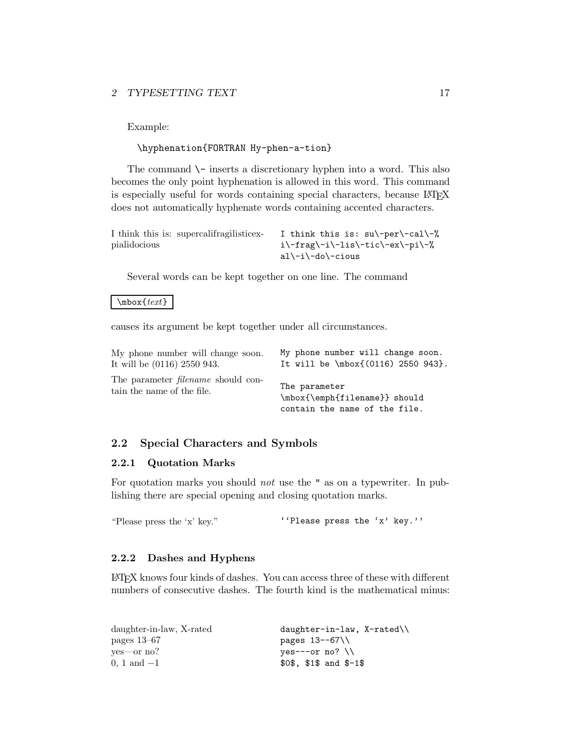Example:

## \hyphenation{FORTRAN Hy-phen-a-tion}

The command  $\setminus$  inserts a discretionary hyphen into a word. This also becomes the only point hyphenation is allowed in this word. This command is especially useful for words containing special characters, because LATEX does not automatically hyphenate words containing accented characters.

| I think this is: supercalifragilistic ex- | I think this is: $su\-\perp\-\cal$ |
|-------------------------------------------|------------------------------------|
| pialidocious                              | i\-frag\-i\-lis\-tic\-ex\-pi\-%    |
|                                           | al\-i\-do\-cious                   |

Several words can be kept together on one line. The command

\mbox{*text*}

causes its argument be kept together under all circumstances.

| My phone number will change soon.                                       | My phone number will change soon.                                               |
|-------------------------------------------------------------------------|---------------------------------------------------------------------------------|
| It will be (0116) 2550 943.                                             | It will be \mbox{(0116) 2550 943}.                                              |
| The parameter <i>filename</i> should con-<br>tain the name of the file. | The parameter<br>\mbox{\emph{filename}} should<br>contain the name of the file. |

### **2.2 Special Characters and Symbols**

#### **2.2.1 Quotation Marks**

For quotation marks you should *not* use the " as on a typewriter. In publishing there are special opening and closing quotation marks.

"Please press the 'x' key." ''Please press the 'x' key.''

#### **2.2.2 Dashes and Hyphens**

LATEX knows four kinds of dashes. You can access three of these with different numbers of consecutive dashes. The fourth kind is the mathematical minus:

| daughter-in-law, X-rated | $d$ aughter-in-law, X-rated |
|--------------------------|-----------------------------|
| pages $13-67$            | pages 13--67\\              |
| ves—or no?               | $ves---or no? \ \ \\$       |
| $0, 1, \text{and } -1$   | $$0\$ , $$1\$ and $$-1\$    |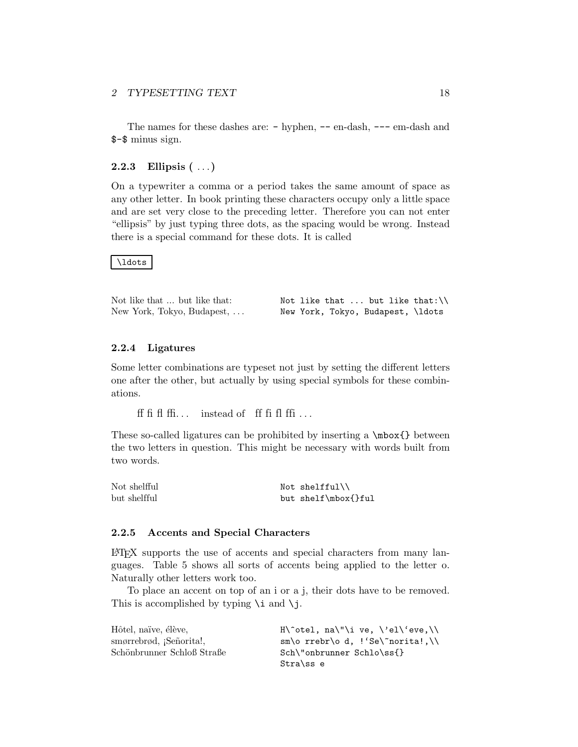The names for these dashes are:  $-$  hyphen,  $--$  en-dash,  $---$  em-dash and \$-\$ minus sign.

### **2.2.3 Ellipsis (** ... **)**

On a typewriter a comma or a period takes the same amount of space as any other letter. In book printing these characters occupy only a little space and are set very close to the preceding letter. Therefore you can not enter "ellipsis" by just typing three dots, as the spacing would be wrong. Instead there is a special command for these dots. It is called

#### \ldots

| Not like that  but like that: |  | Not like that $\dots$ but like that:\\ |  |
|-------------------------------|--|----------------------------------------|--|
| New York, Tokyo, Budapest,    |  | New York, Tokyo, Budapest, \ldots      |  |

#### **2.2.4 Ligatures**

Some letter combinations are typeset not just by setting the different letters one after the other, but actually by using special symbols for these combinations.

ff fi fl ffi... instead of ff fi fl ffi...

These so-called ligatures can be prohibited by inserting a \mbox{} between the two letters in question. This might be necessary with words built from two words.

| Not shelfful | Not shelfful\\      |
|--------------|---------------------|
| but shelfful | but shelf\mbox{}ful |

#### **2.2.5 Accents and Special Characters**

LATEX supports the use of accents and special characters from many languages. Table 5 shows all sorts of accents being applied to the letter o. Naturally other letters work too.

To place an accent on top of an i or a j, their dots have to be removed. This is accomplished by typing  $\iota$  and  $\iota$ j.

| Hôtel, naïve, élève,           | $H\text{\textdegree}$ al" i ve, $\ell$ el $\ell$ eve, $\ell$ |
|--------------------------------|--------------------------------------------------------------|
| smørrebrød, <i>Señorita!</i> , | $sm\$ o rrebr $\o$ d, !'Se $\r$ norita!, \                   |
| Schönbrunner Schloß Straße     | Sch\"onbrunner Schlo\ss{}                                    |
|                                | Stra\ss e                                                    |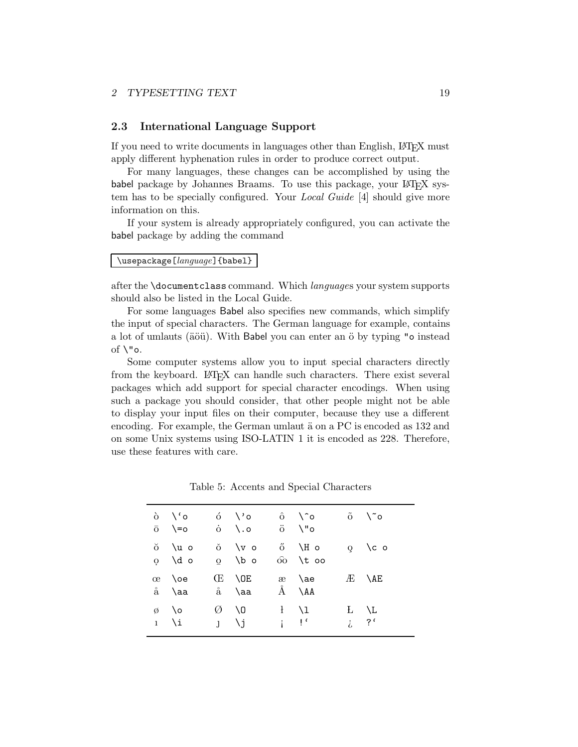#### **2.3 International Language Support**

If you need to write documents in languages other than English, LATEX must apply different hyphenation rules in order to produce correct output.

For many languages, these changes can be accomplished by using the babel package by Johannes Braams. To use this package, your LAT<sub>E</sub>X system has to be specially configured. Your *Local Guide* [4] should give more information on this.

If your system is already appropriately configured, you can activate the babel package by adding the command

#### \usepackage[*language*]{babel}

after the \documentclass command. Which *language*s your system supports should also be listed in the Local Guide.

For some languages Babel also specifies new commands, which simplify the input of special characters. The German language for example, contains a lot of umlauts (äöü). With Babel you can enter an ö by typing "o instead of  $\nabla$ "o.

Some computer systems allow you to input special characters directly from the keyboard. LATEX can handle such characters. There exist several packages which add support for special character encodings. When using such a package you should consider, that other people might not be able to display your input files on their computer, because they use a different encoding. For example, the German umlaut  $\ddot{a}$  on a PC is encoded as 132 and on some Unix systems using ISO-LATIN 1 it is encoded as 228. Therefore, use these features with care.

|   | $\delta$ \'o<br>$\overline{O}$ \=0      |   | ó \'o ô \^o<br>$\dot{\mathrm{o}}$ \.o | ö ∖"o                     |                              | $\tilde{0}$ $\sqrt{8}$ |
|---|-----------------------------------------|---|---------------------------------------|---------------------------|------------------------------|------------------------|
|   | ŏ \u o<br>$0 \quad \text{d} \quad 0$    |   | $0 \sqrt{v}$<br>$\Omega$ \b o         |                           | ő \H o<br>$\hat{00}$ \t $oo$ | $Q \cap C$ o           |
| œ | <b>Noe</b><br>å \aa                     |   | E \OE<br>$\aa$ \aa $\AA$ \AA          |                           | æ \ae                        | $AE$ $\Delta E$        |
|   | $\emptyset$ \o<br>$1 \nightharpoonup i$ | Ø | $\setminus$ 0<br>$J \qquad \forall j$ | $\mathbf{i}$ $\mathbf{P}$ | $\frac{1}{1}$ \1             | L \L<br>$i$ ?'         |

Table 5: Accents and Special Characters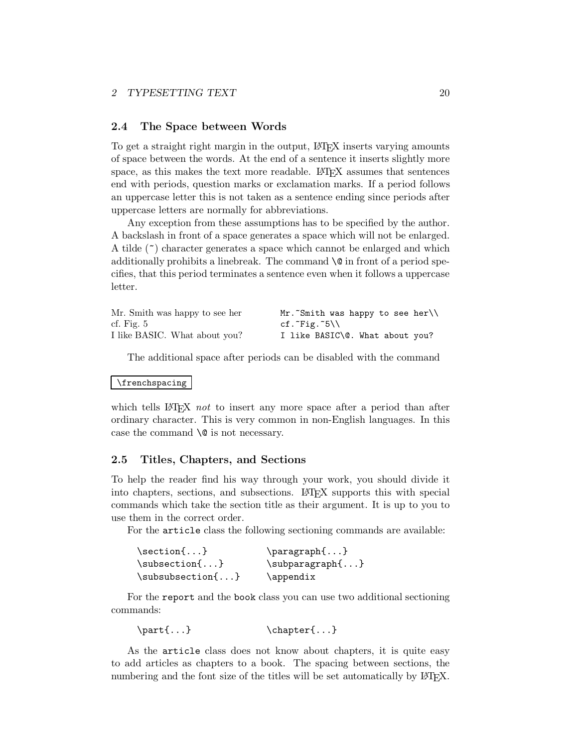#### **2.4 The Space between Words**

To get a straight right margin in the output, LAT<sub>EX</sub> inserts varying amounts of space between the words. At the end of a sentence it inserts slightly more space, as this makes the text more readable. LAT<sub>EX</sub> assumes that sentences end with periods, question marks or exclamation marks. If a period follows an uppercase letter this is not taken as a sentence ending since periods after uppercase letters are normally for abbreviations.

Any exception from these assumptions has to be specified by the author. A backslash in front of a space generates a space which will not be enlarged. A tilde (~) character generates a space which cannot be enlarged and which additionally prohibits a line break. The command  $\Diamond$  in front of a period specifies, that this period terminates a sentence even when it follows a uppercase letter.

| Mr. Smith was happy to see her | Mr. Smith was happy to see her  |
|--------------------------------|---------------------------------|
| cf. Fig. $5$                   | cf. $Fig. 5\}$                  |
| I like BASIC. What about you?  | I like BASIC\@. What about you? |

The additional space after periods can be disabled with the command

#### \frenchspacing

which tells LAT<sub>EX</sub> *not* to insert any more space after a period than after ordinary character. This is very common in non-English languages. In this case the command  $\Diamond$  is not necessary.

#### **2.5 Titles, Chapters, and Sections**

To help the reader find his way through your work, you should divide it into chapters, sections, and subsections. LAT<sub>E</sub>X supports this with special commands which take the section title as their argument. It is up to you to use them in the correct order.

For the article class the following sectioning commands are available:

| $\setminus$ section $\{ \ldots \}$    | $\{p\}$            |  |  |
|---------------------------------------|--------------------|--|--|
| $\substack{\text{subsection} \ldots}$ | $\sub{subparam}$ } |  |  |
| $\substack{\text{subsuch} \dots \}}$  | \appendix          |  |  |

For the report and the book class you can use two additional sectioning commands:

```
\partial \{\text{...}\}\
```
As the article class does not know about chapters, it is quite easy to add articles as chapters to a book. The spacing between sections, the numbering and the font size of the titles will be set automatically by LAT<sub>E</sub>X.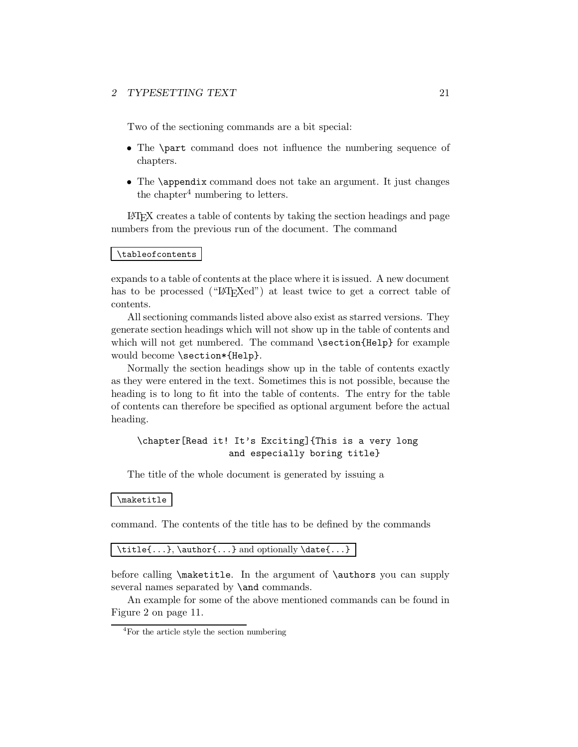Two of the sectioning commands are a bit special:

- The \part command does not influence the numbering sequence of chapters.
- The \appendix command does not take an argument. It just changes the chapter<sup>4</sup> numbering to letters.

LATEX creates a table of contents by taking the section headings and page numbers from the previous run of the document. The command

### \tableofcontents

expands to a table of contents at the place where it is issued. A new document has to be processed ("LAT<sub>EX</sub>ed") at least twice to get a correct table of contents.

All sectioning commands listed above also exist as starred versions. They generate section headings which will not show up in the table of contents and which will not get numbered. The command \section{Help} for example would become \section\*{Help}.

Normally the section headings show up in the table of contents exactly as they were entered in the text. Sometimes this is not possible, because the heading is to long to fit into the table of contents. The entry for the table of contents can therefore be specified as optional argument before the actual heading.

### \chapter[Read it! It's Exciting]{This is a very long and especially boring title}

The title of the whole document is generated by issuing a

#### \maketitle

command. The contents of the title has to be defined by the commands

\title{...}, \author{...} and optionally \date{...}

before calling \maketitle. In the argument of \authors you can supply several names separated by **\and** commands.

An example for some of the above mentioned commands can be found in Figure 2 on page 11.

<sup>4</sup>For the article style the section numbering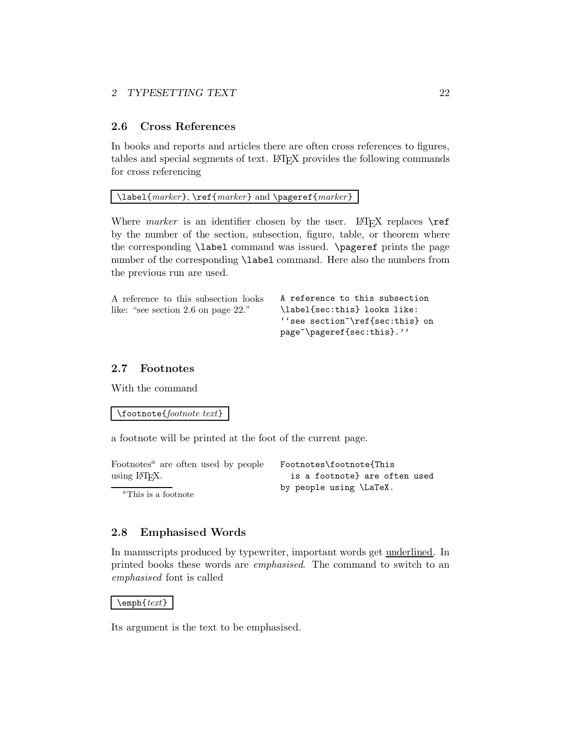### **2.6 Cross References**

In books and reports and articles there are often cross references to figures, tables and special segments of text. LATEX provides the following commands for cross referencing

### \label{*marker*}, \ref{*marker*} and \pageref{*marker*}

Where *marker* is an identifier chosen by the user. LAT<sub>E</sub>X replaces  $\text{ref}$ by the number of the section, subsection, figure, table, or theorem where the corresponding \label command was issued. \pageref prints the page number of the corresponding \label command. Here also the numbers from the previous run are used.

| A reference to this subsection looks | A reference to this subsection          |
|--------------------------------------|-----------------------------------------|
| like: "see section 2.6 on page 22."  | \label{sec:this} looks like:            |
|                                      | ''see section \ref{sec:this} on         |
|                                      | page <sup>"</sup> \pageref{sec:this}.'' |

### **2.7 Footnotes**

With the command

\footnote{*footnote text*}

a footnote will be printed at the foot of the current page.

| Footnotes <sup><math>a</math></sup> are often used by people | Footnotes\footnote{This       |
|--------------------------------------------------------------|-------------------------------|
| using $LFT$ <sub>F</sub> X.                                  | is a footnotel are often used |
| $a_{\text{This}}$ is a footpote                              | by people using \LaTeX.       |

*<sup>a</sup>*This is a footnote

### **2.8 Emphasised Words**

In manuscripts produced by typewriter, important words get underlined. In printed books these words are *emphasised*. The command to switch to an *emphasised* font is called

#### \emph{*text*}

Its argument is the text to be emphasised.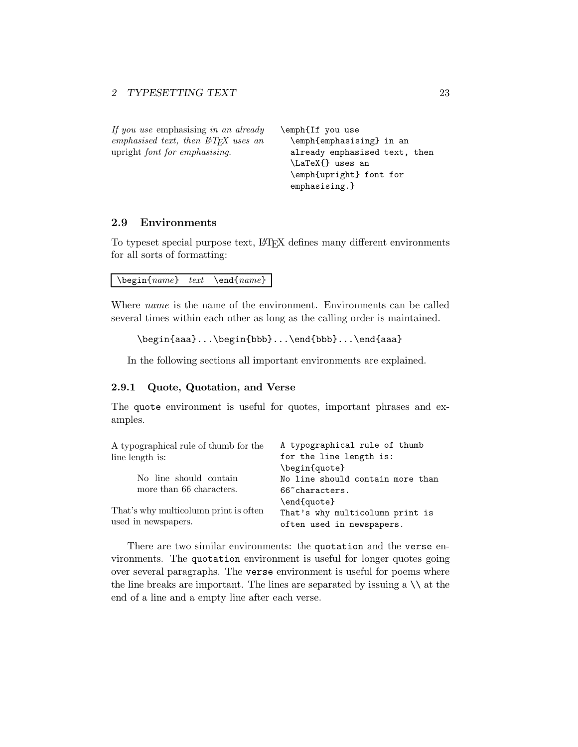| If you use emphasising in an already  | \emph{If you use              |
|---------------------------------------|-------------------------------|
| emphasised text, then PTFX uses an    | \emph{emphasising} in an      |
| upright <i>font for emphasising</i> . | already emphasised text, then |
|                                       | \LaTeX{} uses an              |
|                                       | \emph{upright} font for       |
|                                       | emphasising.}                 |

### **2.9 Environments**

To typeset special purpose text, LATEX defines many different environments for all sorts of formatting:

\begin{*name*} *text* \end{*name*}

Where *name* is the name of the environment. Environments can be called several times within each other as long as the calling order is maintained.

```
\begin{aaa}...\begin{bbb}...\end{bbb}...\end{aaa}
```
In the following sections all important environments are explained.

### **2.9.1 Quote, Quotation, and Verse**

The quote environment is useful for quotes, important phrases and examples.

| A typographical rule of thumb                                               |
|-----------------------------------------------------------------------------|
| for the line length is:                                                     |
| \begin{quote}                                                               |
| No line should contain more than                                            |
| 66 <sup>o</sup> characters.                                                 |
| \end{quote}<br>That's why multicolumn print is<br>often used in newspapers. |
|                                                                             |

There are two similar environments: the quotation and the verse environments. The quotation environment is useful for longer quotes going over several paragraphs. The verse environment is useful for poems where the line breaks are important. The lines are separated by issuing a  $\setminus \setminus$  at the end of a line and a empty line after each verse.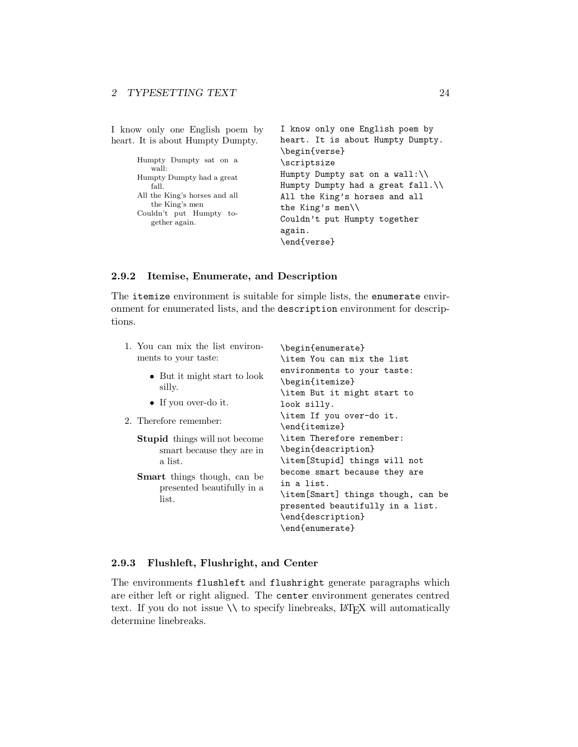| I know only one English poem by                                                                                                                                      | I know only one English poem by                                                                                                                                                                                                     |
|----------------------------------------------------------------------------------------------------------------------------------------------------------------------|-------------------------------------------------------------------------------------------------------------------------------------------------------------------------------------------------------------------------------------|
| heart. It is about Humpty Dumpty.                                                                                                                                    | heart. It is about Humpty Dumpty.                                                                                                                                                                                                   |
| Humpty Dumpty sat on a<br>wall:<br>Humpty Dumpty had a great<br>fall.<br>All the King's horses and all<br>the King's men<br>Couldn't put Humpty to-<br>gether again. | \begin{verse}<br>\scriptsize<br>Humpty Dumpty sat on a wall: $\setminus$<br>Humpty Dumpty had a great fall.<br>All the King's horses and all<br>the King's men $\setminus$<br>Couldn't put Humpty together<br>again.<br>\end{verse} |

#### **2.9.2 Itemise, Enumerate, and Description**

The itemize environment is suitable for simple lists, the enumerate environment for enumerated lists, and the description environment for descriptions.

| 1. You can mix the list environ-<br>ments to your taste:                                                                                                  | \begin{enumerate}<br>\item You can mix the list                                                                                                                                                                                                    |
|-----------------------------------------------------------------------------------------------------------------------------------------------------------|----------------------------------------------------------------------------------------------------------------------------------------------------------------------------------------------------------------------------------------------------|
| • But it might start to look<br>silly.<br>• If you over-do it.<br>2. Therefore remember:                                                                  | environments to your taste:<br>\begin{itemize}<br>\item But it might start to<br>look silly.<br>\item If you over-do it.<br>\end{itemize}                                                                                                          |
| <b>Stupid</b> things will not become<br>smart because they are in<br>a list.<br><b>Smart</b> things though, can be<br>presented beautifully in a<br>list. | \item Therefore remember:<br>\begin{description}<br>\item[Stupid] things will not<br>become smart because they are<br>in a list.<br>\item[Smart] things though, can be<br>presented beautifully in a list.<br>\end{description}<br>\end{enumerate} |

#### **2.9.3 Flushleft, Flushright, and Center**

The environments flushleft and flushright generate paragraphs which are either left or right aligned. The center environment generates centred text. If you do not issue  $\setminus\setminus$  to specify linebreaks,  $\boxtimes T_{\text{E}}\text{X}$  will automatically determine linebreaks.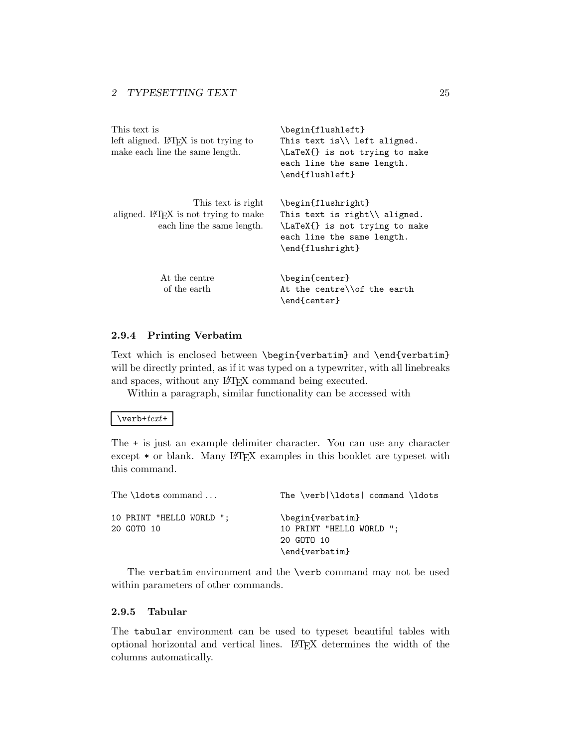| This text is<br>left aligned. L <sup>A</sup> T <sub>F</sub> X is not trying to<br>make each line the same length. | \begin{flushleft}<br>This text is $\setminus$ left aligned.<br>\LaTeX{} is not trying to make<br>each line the same length.<br>\end{flushleft}    |
|-------------------------------------------------------------------------------------------------------------------|---------------------------------------------------------------------------------------------------------------------------------------------------|
| This text is right<br>aligned. LAT <sub>F</sub> X is not trying to make<br>each line the same length.             | \begin{flushright}<br>This text is right $\setminus$ aligned.<br>\LaTeX{} is not trying to make<br>each line the same length.<br>\end{flushright} |
| At the centre<br>of the earth                                                                                     | \begin{center}<br>At the centre\\of the earth<br>\end{center}                                                                                     |

#### **2.9.4 Printing Verbatim**

Text which is enclosed between \begin{verbatim} and \end{verbatim} will be directly printed, as if it was typed on a typewriter, with all linebreaks and spaces, without any IATEX command being executed.

Within a paragraph, similar functionality can be accessed with

#### \verb+*text*+

The + is just an example delimiter character. You can use any character except  $*$  or blank. Many LAT<sub>E</sub>X examples in this booklet are typeset with this command.

| The $\ldots$                           | The \verb \ldots  command \ldots                                             |
|----------------------------------------|------------------------------------------------------------------------------|
| 10 PRINT "HELLO WORLD ";<br>20 GOTO 10 | \begin{verbatim}<br>10 PRINT "HELLO WORLD ";<br>20 GOTO 10<br>\end{verbatim} |

The verbatim environment and the \verb command may not be used within parameters of other commands.

### **2.9.5 Tabular**

The tabular environment can be used to typeset beautiful tables with optional horizontal and vertical lines. LATEX determines the width of the columns automatically.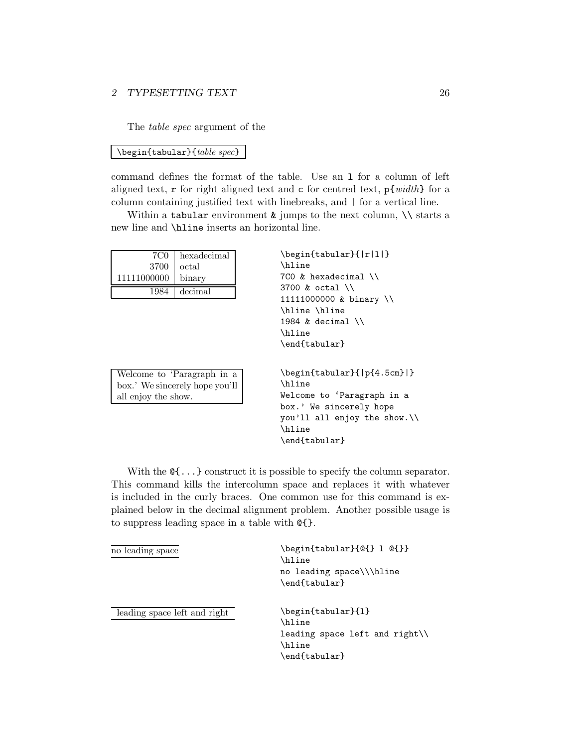The *table spec* argument of the

#### \begin{tabular}{*table spec*}

command defines the format of the table. Use an l for a column of left aligned text, r for right aligned text and c for centred text, p{*width*} for a column containing justified text with linebreaks, and | for a vertical line.

Within a tabular environment  $\&$  jumps to the next column,  $\setminus \$  starts a new line and \hline inserts an horizontal line.

| 7C0                 | hexadecimal                    | \begin{tabular}{ r 1 }                                                   |
|---------------------|--------------------------------|--------------------------------------------------------------------------|
| 3700                | octal                          | \hline                                                                   |
| 11111000000         | binary                         | 7CO & hexadecimal \\                                                     |
| 1984                | decimal                        | 3700 & octal $\setminus$                                                 |
|                     |                                | 11111000000 & binary $\setminus$                                         |
|                     |                                | \hline \hline                                                            |
|                     |                                | 1984 & decimal $\setminus$                                               |
|                     |                                | \hline                                                                   |
|                     |                                | \end{tabular}                                                            |
|                     |                                |                                                                          |
|                     |                                |                                                                          |
|                     | Welcome to 'Paragraph in a     | $\begin{array}{c} \text{begin{{{array}{c}1.5cm\end{array}}} \end{array}$ |
|                     | box.' We sincerely hope you'll | \hline                                                                   |
| all enjoy the show. |                                | Welcome to 'Paragraph in a                                               |
|                     |                                | box.' We sincerely hope                                                  |
|                     |                                | you'll all enjoy the show.                                               |
|                     |                                | <b>\hline</b>                                                            |
|                     |                                | \end{tabular}                                                            |

With the  $\mathcal{C}$ ...} construct it is possible to specify the column separator. This command kills the intercolumn space and replaces it with whatever is included in the curly braces. One common use for this command is explained below in the decimal alignment problem. Another possible usage is to suppress leading space in a table with @{}.

| no leading space             | \begin{tabular}{0{} 1 0{}}<br>\hline<br>no leading space\\\hline<br>\end{tabular}                   |
|------------------------------|-----------------------------------------------------------------------------------------------------|
| leading space left and right | \begin{tabular}{1}<br>\hline<br>leading space left and right $\setminus$<br>\hline<br>\end{tabular} |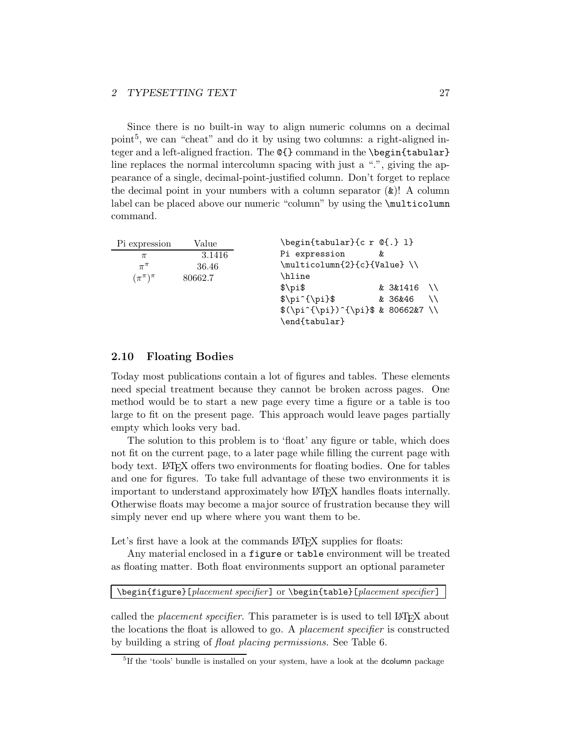Since there is no built-in way to align numeric columns on a decimal point<sup>5</sup>, we can "cheat" and do it by using two columns: a right-aligned integer and a left-aligned fraction. The  $\mathcal{C}\$  command in the \begin{tabular} line replaces the normal intercolumn spacing with just a ".", giving the appearance of a single, decimal-point-justified column. Don't forget to replace the decimal point in your numbers with a column separator (&)! A column label can be placed above our numeric "column" by using the \multicolumn command.

| Pi expression       | Value   | \begin{tabular}{c r @{.} 1}      |    |          |           |
|---------------------|---------|----------------------------------|----|----------|-----------|
| $\pi$               | 3.1416  | Pi expression                    | &c |          |           |
| $\pi^{\pi}$         | 36.46   | \multicolumn{2}{c}{Value} \\     |    |          |           |
| $(\pi^{\pi})^{\pi}$ | 80662.7 | \hline                           |    |          |           |
|                     |         | $\pi$                            |    | & 3&1416 | $\lambda$ |
|                     |         | $\pi^{\pi}$                      |    | & 36&46  | ハ         |
|                     |         | $(\pi^{\pi})^{\pi}$ \$ & 80662&7 |    |          |           |
|                     |         | \end{tabular}                    |    |          |           |

### **2.10 Floating Bodies**

Today most publications contain a lot of figures and tables. These elements need special treatment because they cannot be broken across pages. One method would be to start a new page every time a figure or a table is too large to fit on the present page. This approach would leave pages partially empty which looks very bad.

The solution to this problem is to 'float' any figure or table, which does not fit on the current page, to a later page while filling the current page with body text. LAT<sub>EX</sub> offers two environments for floating bodies. One for tables and one for figures. To take full advantage of these two environments it is important to understand approximately how LATEX handles floats internally. Otherwise floats may become a major source of frustration because they will simply never end up where where you want them to be.

Let's first have a look at the commands LAT<sub>E</sub>X supplies for floats:

Any material enclosed in a figure or table environment will be treated as floating matter. Both float environments support an optional parameter

\begin{figure}[*placement specifier*] or \begin{table}[*placement specifier*]

called the *placement specifier*. This parameter is is used to tell LAT<sub>E</sub>X about the locations the float is allowed to go. A *placement specifier* is constructed by building a string of *float placing permissions*. See Table 6.

<sup>&</sup>lt;sup>5</sup>If the 'tools' bundle is installed on your system, have a look at the **dcolumn** package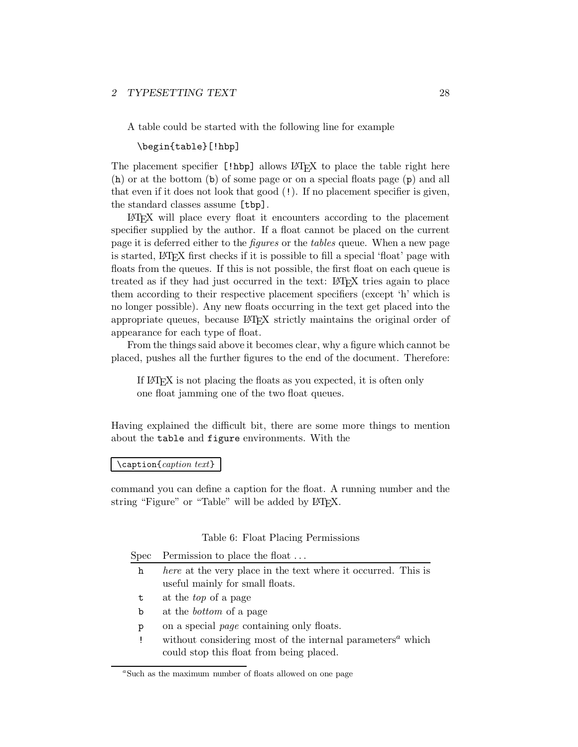A table could be started with the following line for example

\begin{table}[!hbp]

The placement specifier [!hbp] allows LATEX to place the table right here (h) or at the bottom (b) of some page or on a special floats page (p) and all that even if it does not look that good (!). If no placement specifier is given, the standard classes assume [tbp].

LATEX will place every float it encounters according to the placement specifier supplied by the author. If a float cannot be placed on the current page it is deferred either to the *figures* or the *tables* queue. When a new page is started, LATEX first checks if it is possible to fill a special 'float' page with floats from the queues. If this is not possible, the first float on each queue is treated as if they had just occurred in the text: LATEX tries again to place them according to their respective placement specifiers (except 'h' which is no longer possible). Any new floats occurring in the text get placed into the appropriate queues, because LATEX strictly maintains the original order of appearance for each type of float.

From the things said above it becomes clear, why a figure which cannot be placed, pushes all the further figures to the end of the document. Therefore:

If LATEX is not placing the floats as you expected, it is often only one float jamming one of the two float queues.

Having explained the difficult bit, there are some more things to mention about the table and figure environments. With the

\caption{*caption text*}

command you can define a caption for the float. A running number and the string "Figure" or "Table" will be added by LATFX.

#### Table 6: Float Placing Permissions

| <b>Spec</b> | Permission to place the float                                                       |
|-------------|-------------------------------------------------------------------------------------|
| h           | <i>here</i> at the very place in the text where it occurred. This is                |
|             | useful mainly for small floats.                                                     |
| t           | at the <i>top</i> of a page                                                         |
| b           | at the <i>bottom</i> of a page                                                      |
| p           | on a special <i>page</i> containing only floats.                                    |
|             | without considering most of the internal parameters <sup><math>a</math></sup> which |
|             | could stop this float from being placed.                                            |

<sup>&</sup>lt;sup>a</sup>Such as the maximum number of floats allowed on one page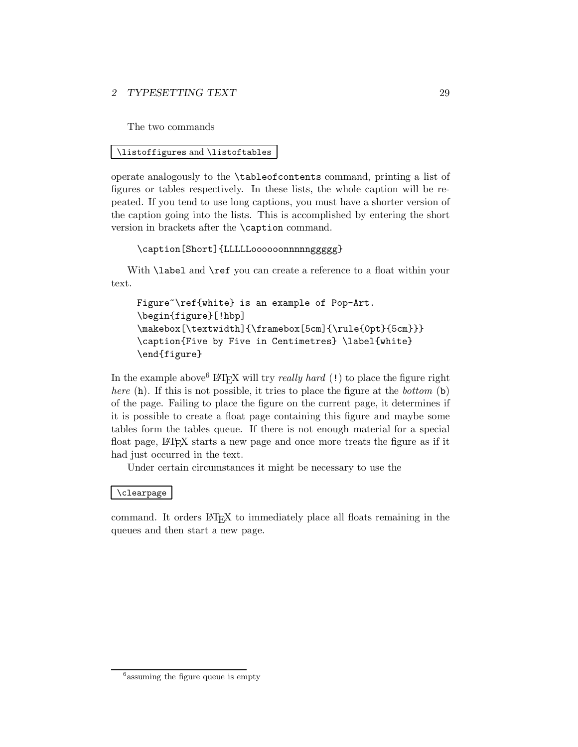The two commands

### \listoffigures and \listoftables

operate analogously to the \tableofcontents command, printing a list of figures or tables respectively. In these lists, the whole caption will be repeated. If you tend to use long captions, you must have a shorter version of the caption going into the lists. This is accomplished by entering the short version in brackets after the \caption command.

```
\caption[Short]{LLLLLoooooonnnnnggggg}
```
With **\label** and **\ref** you can create a reference to a float within your text.

```
Figure~\ref{white} is an example of Pop-Art.
\begin{figure}[!hbp]
\makebox[\textwidth]{\framebox[5cm]{\rule{0pt}{5cm}}}
\caption{Five by Five in Centimetres} \label{white}
\end{figure}
```
In the example above  $6$  LAT<sub>E</sub>X will try *really hard* (!) to place the figure right *here* (h). If this is not possible, it tries to place the figure at the *bottom* (b) of the page. Failing to place the figure on the current page, it determines if it is possible to create a float page containing this figure and maybe some tables form the tables queue. If there is not enough material for a special float page, LAT<sub>EX</sub> starts a new page and once more treats the figure as if it had just occurred in the text.

Under certain circumstances it might be necessary to use the

### \clearpage

command. It orders  $\mathbb{F} \mathbb{F} \mathbb{F}$  to immediately place all floats remaining in the queues and then start a new page.

 $6$ assuming the figure queue is empty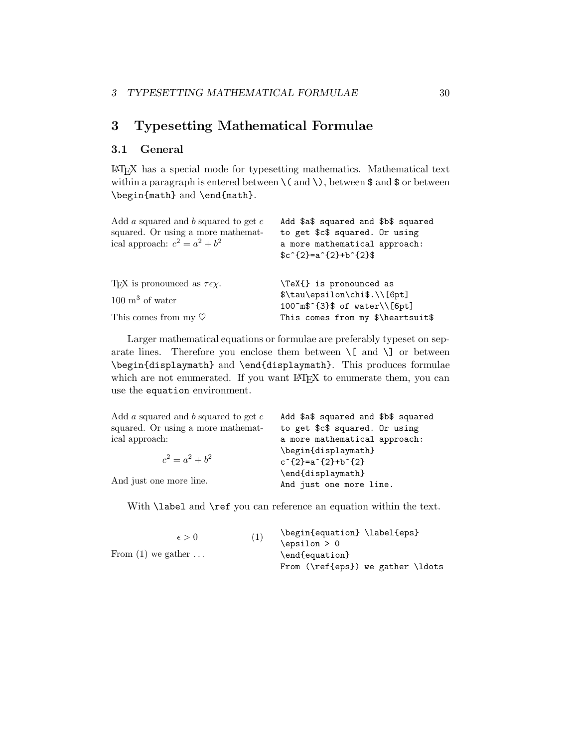## **3 Typesetting Mathematical Formulae**

### **3.1 General**

LATEX has a special mode for typesetting mathematics. Mathematical text within a paragraph is entered between  $\setminus$  (and  $\setminus$ ), between \$ and \$ or between \begin{math} and \end{math}.

| Add a squared and b squared to get $c$<br>squared. Or using a more mathemat-<br>ical approach: $c^2 = a^2 + b^2$          | Add \$a\$ squared and \$b\$ squared<br>to get \$c\$ squared. Or using<br>a more mathematical approach:<br>$c^{2} = a^{2} + b^{2}$ |
|---------------------------------------------------------------------------------------------------------------------------|-----------------------------------------------------------------------------------------------------------------------------------|
| T <sub>F</sub> X is pronounced as $\tau \epsilon \chi$ .<br>$100 \text{ m}^3$ of water<br>This comes from my $\heartsuit$ | \TeX{} is pronounced as<br>\$\tau\epsilon\chi\$.\\[6pt]<br>100~m\$^{3}\$ of water\\[6pt]<br>This comes from my \$\heartsuit\$     |

Larger mathematical equations or formulae are preferably typeset on separate lines. Therefore you enclose them between  $\setminus$ [ and  $\setminus$ ] or between \begin{displaymath} and \end{displaymath}. This produces formulae which are not enumerated. If you want LATEX to enumerate them, you can use the equation environment.

| Add $a$ squared and $b$ squared to get $c$ | Add \$a\$ squared and \$b\$ squared              |  |  |  |
|--------------------------------------------|--------------------------------------------------|--|--|--|
| squared. Or using a more mathemat-         | to get \$c\$ squared. Or using                   |  |  |  |
| ical approach:                             | a more mathematical approach:                    |  |  |  |
|                                            | \begin{displaymath}                              |  |  |  |
| $c^2 = a^2 + b^2$                          | $c^{2}$ = a <sup>2</sup> {2}+b <sup>2</sup> {2}} |  |  |  |
|                                            | \end{displaymath}                                |  |  |  |
| And just one more line.                    | And just one more line.                          |  |  |  |

With **\label** and **\ref** you can reference an equation within the text.

| $\epsilon > 0$       | (1) | \begin{equation} \label{eps}      |
|----------------------|-----|-----------------------------------|
|                      |     | $\epsilon > 0$                    |
| From $(1)$ we gather |     | \end{equation}                    |
|                      |     | From (\ref{eps}) we gather \ldots |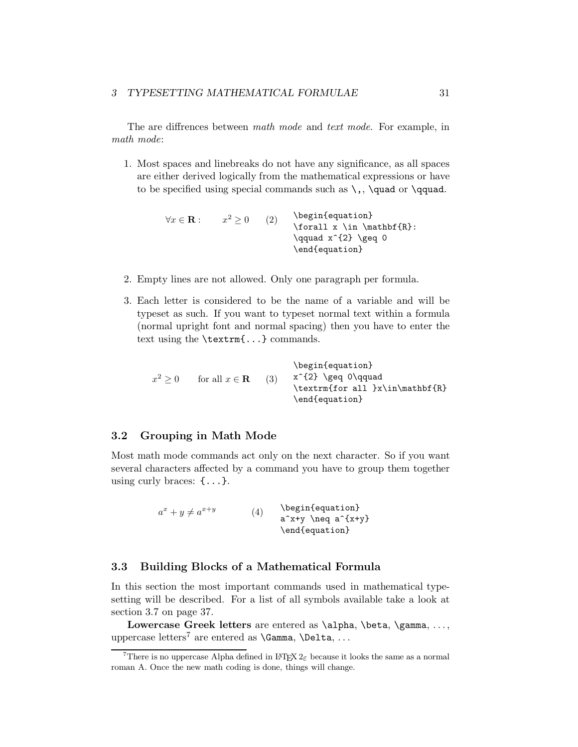The are diffrences between *math mode* and *text mode*. For example, in *math mode*:

1. Most spaces and linebreaks do not have any significance, as all spaces are either derived logically from the mathematical expressions or have to be specified using special commands such as  $\lambda$ ,  $\quad$  and or  $\qquad$ 

> $\forall x \in \mathbf{R} :$   $x^2 \ge 0$  (2) \begin{equation} \forall x \in \mathbf{R}:  $\qquad x^{\f}2} \geq 0$ \end{equation}

- 2. Empty lines are not allowed. Only one paragraph per formula.
- 3. Each letter is considered to be the name of a variable and will be typeset as such. If you want to typeset normal text within a formula (normal upright font and normal spacing) then you have to enter the text using the \textrm{...} commands.

 $x^2 \ge 0$  for all  $x \in \mathbf{R}$  (3) \begin{equation}  $x^{\dagger}$  \geq 0\qquad \textrm{for all }x\in\mathbf{R} \end{equation}

### **3.2 Grouping in Math Mode**

Most math mode commands act only on the next character. So if you want several characters affected by a command you have to group them together using curly braces: {...}.

> $a^x + y \neq a^{x+y}$  (4) \begin{equation}  $a^x+y$  \neq  $a^{\{x+y\}}$ \end{equation}

### **3.3 Building Blocks of a Mathematical Formula**

In this section the most important commands used in mathematical typesetting will be described. For a list of all symbols available take a look at section 3.7 on page 37.

Lowercase Greek letters are entered as **\alpha**, **\beta**, **\gamma**, ..., uppercase letters<sup>7</sup> are entered as  $\Gamma, \Delta, \ldots$ 

<sup>&</sup>lt;sup>7</sup>There is no uppercase Alpha defined in  $\mathbb{F}$ FFX  $2\varepsilon$  because it looks the same as a normal roman A. Once the new math coding is done, things will change.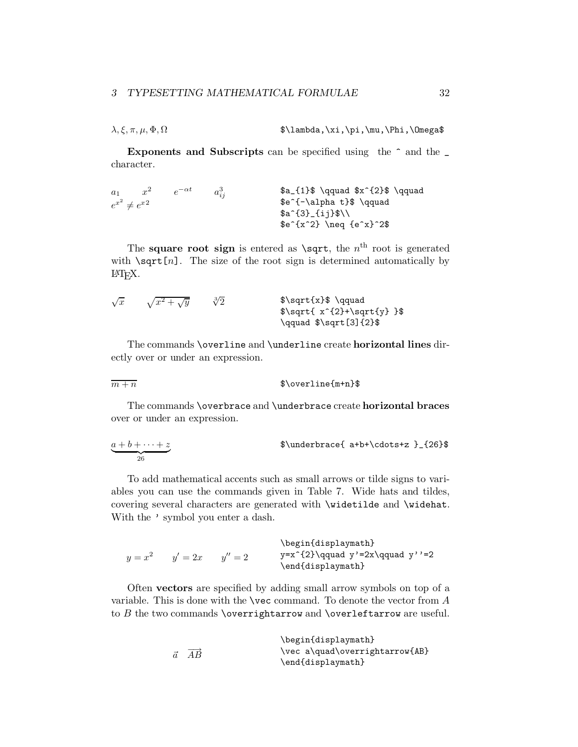$\lambda, \xi, \pi, \mu, \Phi, \Omega$  \$\lambda,\xi,\pi,\mu,\Phi,\Omega\$

**Exponents and Subscripts** can be specified using the  $\hat{ }$  and the  $\hat{ }$ character.

| $a_1$                                  | $x^2$                                      | $e^{-\alpha t}$                            | $a_{ij}^3$ | $\$a_{1}\$\qquad\qquad $x^2 \neq e^{x^2}$$ |
|----------------------------------------|--------------------------------------------|--------------------------------------------|------------|--------------------------------------------|
| $e^{x^2} \neq e^{x^2}$                 | $a_{ij}^3$                                 | $\$a_{1}\$\qquad\qquad $x^2 \neq e^{x^2}$$ |            |                                            |
| $\$a_{1}\$\qquad\qquad $a_{ij}$$       | $\$a_{1}\$\qquad\qquad $x^2 \neq e^{x^2}$$ |                                            |            |                                            |
| $\$a_{1}\$\qquad\qquad $x^2 \geq x^2$$ |                                            |                                            |            |                                            |
| $\$a_{1}\$\qquad\qquad $x^2 \geq x^2$$ |                                            |                                            |            |                                            |

The **square root sign** is entered as  $\sqrt{\sqrt{}}$ , the n<sup>th</sup> root is generated with  $\sqrt{\sqrt{np}}$ . The size of the root sign is determined automatically by LATEX.

$$
\sqrt{x} \quad \sqrt{x^2 + \sqrt{y}} \quad \sqrt[3]{2} \quad \text{$}\sqrt{x^2 + \sqrt{y}}
$$
\n
$$
\sqrt{x^2 + \sqrt{y}}
$$
\n
$$
\sqrt{x^2 + \sqrt{y}}
$$
\n
$$
\sqrt{x^2 + \sqrt{y}}
$$
\n
$$
\sqrt{x^2 + \sqrt{y}}
$$
\n
$$
\sqrt{x^2 + \sqrt{y}}
$$
\n
$$
\sqrt{x^2 + \sqrt{y}}
$$
\n
$$
\sqrt{x^2 + \sqrt{y}}
$$

The commands \overline and \underline create **horizontal lines** directly over or under an expression.

 $\frac{m+n}{m+n}$  \$\overline{m+n}\$

The commands \overbrace and \underbrace create **horizontal braces** over or under an expression.

$$
\underbrace{a+b+\cdots+z}_{26}
$$
 
$$
\text{Qunderbrace a+b+\cdots+z}_{26}
$$

To add mathematical accents such as small arrows or tilde signs to variables you can use the commands given in Table 7. Wide hats and tildes, covering several characters are generated with \widetilde and \widehat. With the  $\prime$  symbol you enter a dash.

 $y = x^2$   $y' = 2x$   $y'' = 2$ \begin{displaymath} y=x^{2}\qquad y'=2x\qquad y''=2 \end{displaymath}

Often **vectors** are specified by adding small arrow symbols on top of a variable. This is done with the  $\vee$ ec command. To denote the vector from A to  $B$  the two commands \overrightarrow and \overleftarrow are useful.

|                                    | \begin{displaymath}            |
|------------------------------------|--------------------------------|
| $\overrightarrow{AB}$<br>$\vec{a}$ | \vec a\quad\overrightarrow{AB} |
|                                    | \end{displaymath}              |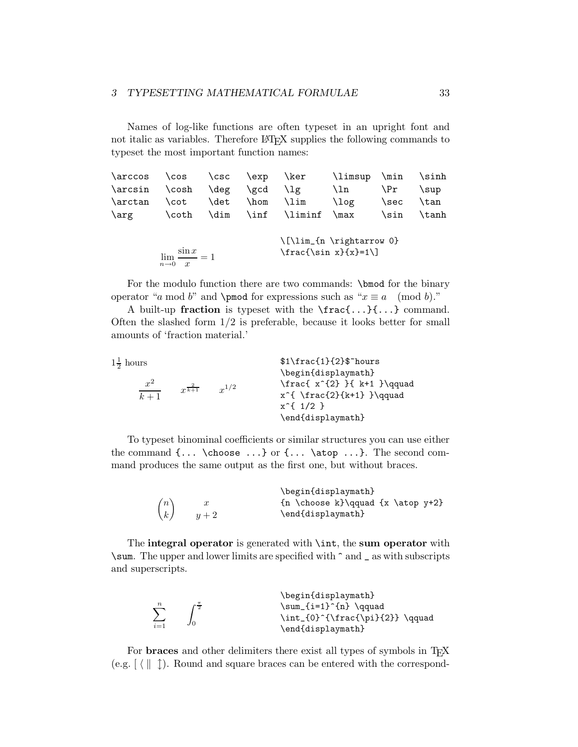Names of log-like functions are often typeset in an upright font and not italic as variables. Therefore LAT<sub>E</sub>X supplies the following commands to typeset the most important function names:

| \arccos | $\cos$                                                       | $\csc$ | $\exp$ | \ker    | \limsup                  | \min | \sinh |
|---------|--------------------------------------------------------------|--------|--------|---------|--------------------------|------|-------|
| \arcsin | $\cosh$                                                      | \deg   | \gcd   | \lg.    | \ln                      | \Pr  | \sup  |
| \arctan | \cot                                                         | \det   | \hom   | \lim    | \log                     | \sec | \tan  |
| \arg    | \coth                                                        | \dim   | $\inf$ | \liminf | $\max$                   | \sin | \tanh |
|         |                                                              |        |        |         | \[\lim_{n \rightarrow 0} |      |       |
|         | $\frac{\sin x}{x} = 1$<br>$n\rightarrow 0$<br>$\overline{x}$ |        |        |         | $\frac{\sin x}{x}=1$     |      |       |

For the modulo function there are two commands: \bmod for the binary operator "a mod b" and \pmod for expressions such as " $x \equiv a \pmod{b}$ ."

A built-up **fraction** is typeset with the \frac{...}{...} command. Often the slashed form  $1/2$  is preferable, because it looks better for small amounts of 'fraction material.'

| $1\frac{1}{2}$ hours |                     |           | $$1\frac{1}{2}\$ nours                                                                                  |
|----------------------|---------------------|-----------|---------------------------------------------------------------------------------------------------------|
| $x^2$<br>$k+1$       | $r^{\frac{2}{k+1}}$ | $r^{1/2}$ | \begin{displaymath}<br>$\frac{x^{2}}{k+1} \qquad$<br>$x^{\{ \frac{2}{k+1} \} \}$<br>$x^{\text{-}}1/2$ } |
|                      |                     |           | \end{displaymath}                                                                                       |

To typeset binominal coefficients or similar structures you can use either the command  $\{ \ldots \}$  or  $\{ \ldots \}$  atop ... }. The second command produces the same output as the first one, but without braces.

|                               |       | \begin{displaymath}                    |
|-------------------------------|-------|----------------------------------------|
| $\left\langle n\right\rangle$ |       | $\{n \choose k}\qquad \{x \atop y+2\}$ |
| $\left\langle k\right\rangle$ | $y+2$ | \end{displaymath}                      |

The **integral operator** is generated with \int, the **sum operator** with \sum. The upper and lower limits are specified with ^ and \_ as with subscripts and superscripts.

| $\sum_{n=1}^{\infty}$ | \begin{displaymath}<br>$\sum_{i=1}^{n} \qquad \qquad$<br>\int_{0}^{\frac{\pi}{2}} \qquad |
|-----------------------|------------------------------------------------------------------------------------------|
| $i=1$                 | \end{displaymath}                                                                        |

For **braces** and other delimiters there exist all types of symbols in T<sub>E</sub>X (e.g.  $\left[\right\langle \parallel \uparrow \right)$ ). Round and square braces can be entered with the correspond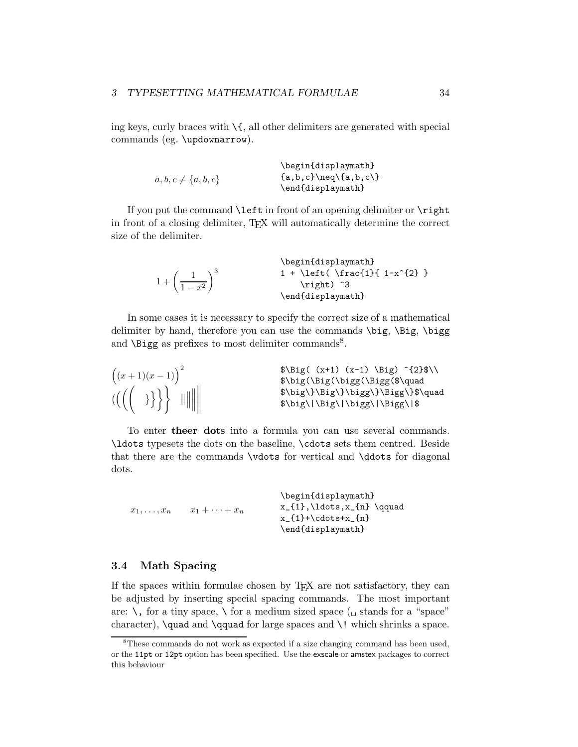ing keys, curly braces with  $\mathcal{A}$ , all other delimiters are generated with special commands (eg. \updownarrow).

```
a, b, c \neq \{a, b, c\}\begin{displaymath}
                              \{a,b,c\}\neq\\{a,b,c\}\end{displaymath}
```
If you put the command \left in front of an opening delimiter or \right in front of a closing delimiter, T<sub>E</sub>X will automatically determine the correct size of the delimiter.

|                                      | \begin{displaymath}                    |
|--------------------------------------|----------------------------------------|
|                                      | $1 + \left( \frac{1}{1-x^{2}} \right)$ |
| $1 + \left(\frac{1}{1-x^2}\right)^3$ | \right) ^3                             |
|                                      | \end{displaymath}                      |

In some cases it is necessary to specify the correct size of a mathematical delimiter by hand, therefore you can use the commands  $\big\{\big\}$ ,  $\big\}$ ,  $\big\}$ and  $\Big\setminus$  Bigg as prefixes to most delimiter commands<sup>8</sup>.

| $((x+1)(x-1))^{2}$<br>$\text{supp}\left\{ \left( \left( \begin{array}{cc} 1 & 1 \\ 1 & 1 \end{array} \right) \right) \right\}$ | $\;\$ \Big(\ (x+1) (x-1) \ \Big) ^{2} \<br>\$\big(\Big(\bigg(\Bigg(\$\quad<br>\$\big\}\Big\}\bigg\}\Bigg\}\$\quad<br>\$\big\ \Big\ \bigg\ \Bigg\ \$ |
|--------------------------------------------------------------------------------------------------------------------------------|-----------------------------------------------------------------------------------------------------------------------------------------------------|
|                                                                                                                                |                                                                                                                                                     |

To enter **theer dots** into a formula you can use several commands. \ldots typesets the dots on the baseline, \cdots sets them centred. Beside that there are the commands \vdots for vertical and \ddots for diagonal dots.

|                  |                  | \begin{displaymath}                  |
|------------------|------------------|--------------------------------------|
| $x_1,\ldots,x_n$ | $x_1+\cdots+x_n$ | $x_{1}, \ldots, x_{n} \qquad \qquad$ |
|                  |                  | $x_{1}+ \cdot t_{n}$                 |
|                  |                  | \end{displaymath}                    |

#### **3.4 Math Spacing**

If the spaces within formulae chosen by TEX are not satisfactory, they can be adjusted by inserting special spacing commands. The most important are:  $\setminus$ , for a tiny space,  $\setminus$  for a medium sized space ( $\cup$  stands for a "space" character),  $\quad$  and  $\qquad$  corrected for large spaces and  $\lq$  which shrinks a space.

<sup>&</sup>lt;sup>8</sup>These commands do not work as expected if a size changing command has been used, or the 11pt or 12pt option has been specified. Use the exscale or amstex packages to correct this behaviour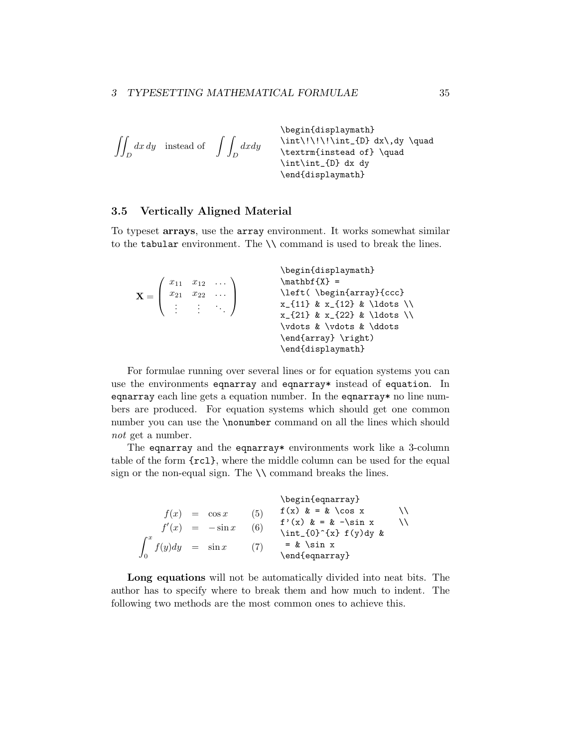$$
\left\{\n \begin{array}{ccc}\n & \begin{array}{c}\n & \begin{array}{c}\n & \begin{array}{c}\n & \begin{array}{c}\n & \begin{array}{c}\n & \begin{array}{c}\n & \begin{array}{c}\n & \begin{array}{c}\n & \begin{array}{c}\n & \begin{array}{c}\n & \end{array} \\
 \end{array} \\
 & \begin{array}{c}\n & \begin{array}{c}\n & \end{array} \\
 \end{array}\n \end{array}\n \end{array}\n \end{array}\n \right\}
$$
\n
$$
\left\{\n \begin{array}{c}\n & \begin{array}{c}\n & \begin{array}{c}\n & \end{array} \\
 \end{array}\n \end{array}\n \end{array}\n \right\}
$$
\n
$$
\left\{\n \begin{array}{c}\n & \begin{array}{c}\n & \end{array} \\
 & \begin{array}{c}\n & \end{array} \\
 \end{array}\n \end{array}\n \right\}
$$

#### **3.5 Vertically Aligned Material**

To typeset **arrays**, use the array environment. It works somewhat similar to the tabular environment. The  $\setminus \setminus$  command is used to break the lines.

| $\mathbf{X} = \left( \begin{array}{ccc} x_{11} & x_{12} & \dots \\ x_{21} & x_{22} & \dots \\ \vdots & \vdots & \ddots \end{array} \right)$ | \begin{displaymath}<br>$\mathbf{X} =$<br>\left(\begin{array}{ccc}<br>$x_{11} \& x_{12} \& \ldots$<br>$x_{21}$ & $x_{22}$ & \ldots \\<br>\vdots & \vdots & \ddots<br>\end{array} \right) |
|---------------------------------------------------------------------------------------------------------------------------------------------|-----------------------------------------------------------------------------------------------------------------------------------------------------------------------------------------|
|                                                                                                                                             | \end{displaymath}                                                                                                                                                                       |

For formulae running over several lines or for equation systems you can use the environments eqnarray and eqnarray\* instead of equation. In eqnarray each line gets a equation number. In the eqnarray\* no line numbers are produced. For equation systems which should get one common number you can use the \nonumber command on all the lines which should *not* get a number.

The equarray and the equarray\* environments work like a 3-column table of the form {rcl}, where the middle column can be used for the equal sign or the non-equal sign. The  $\setminus \setminus$  command breaks the lines.

 $f(x) = \cos x$  (5)  $f'(x) = -\sin x$  (6)  $\int_0^x$  $\int_{0}^{1} f(y) dy = \sin x \qquad (7)$ \begin{eqnarray}  $f(x)$   $\& = \& \cos x$ f'(x)  $\& = \& -\sin x$ \int\_{0}^{x} f(y)dy & = & \sin x \end{eqnarray}

**Long equations** will not be automatically divided into neat bits. The author has to specify where to break them and how much to indent. The following two methods are the most common ones to achieve this.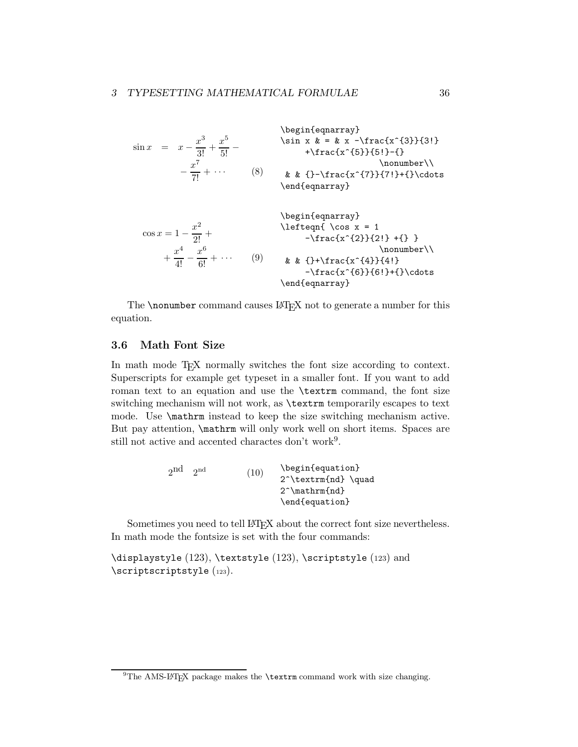$$
\sin x = x - \frac{x^3}{3!} + \frac{x^5}{5!} - \qquad \sin x &= \& x - \frac{x^3}{3!} + \frac{x^5}{5!} - \qquad \quad \text{where } x \text{ is in } x \text{ is in } x \text{ is in } x \text{ is in } x \text{ is in } x \text{ is in } x \text{ is in } x \text{ is in } x \text{ is in } x \text{ is in } x \text{ is in } x \text{ is in } x \text{ is in } x \text{ is in } x \text{ is in } x \text{ is in } x \text{ is in } x \text{ is in } x \text{ is in } x \text{ is in } x \text{ is in } x \text{ is in } x \text{ is in } x \text{ is in } x \text{ is in } x \text{ is in } x \text{ is in } x \text{ is in } x \text{ is in } x \text{ is in } x \text{ is in } x \text{ is in } x \text{ is in } x \text{ is in } x \text{ is in } x \text{ is in } x \text{ is in } x \text{ is in } x \text{ is in } x \text{ is in } x \text{ is in } x \text{ is in } x \text{ is in } x \text{ is in } x \text{ is in } x \text{ is in } x \text{ is in } x \text{ is in } x \text{ is in } x \text{ is in } x \text{ is in } x \text{ is in } x \text{ is in } x \text{ is in } x \text{ is in } x \text{ is in } x \text{ is in } x \text{ is in } x \text{ is in } x \text{ is in } x \text{ is in } x \text{ is in } x \text{ is in } x \text{ is in } x \text{ is in } x \text{ is in } x \text{ is in } x \text{ is in } x \text{ is in } x \text{ is in } x \text{ is in } x \text{ is in } x \text{ is in } x \text{ is in } x \text{ is in } x \text{ is in } x \text{ is in } x \text{ is in } x \text{ is in } x \text{ is in } x \text{ is in } x \text{ is in } x \text{ is in } x \text{ is in } x \text{ is in } x \text{ is in } x \text{ is in } x \text{ is in } x \text{ is in } x \text{ is in } x \text{ is in } x \text{ is in } x \text{ is in } x \text{ is in } x \text{ is in } x \text{ is in } x \text{ is in } x \text{ is in } x \
$$

The **\nonumber** command causes  $\text{BTr}X$  not to generate a number for this equation.

\end{eqnarray}

#### **3.6 Math Font Size**

In math mode T<sub>E</sub>X normally switches the font size according to context. Superscripts for example get typeset in a smaller font. If you want to add roman text to an equation and use the \textrm command, the font size switching mechanism will not work, as \textrm temporarily escapes to text mode. Use \mathrm instead to keep the size switching mechanism active. But pay attention, **\mathrm** will only work well on short items. Spaces are still not active and accented charactes don't work<sup>9</sup>.

$$
\begin{array}{ll} \text{2nd} & \begin{array}{l} \text{beginf4}\end{array} \end{array} \end{array} \begin{array}{ll} \text{10}\end{array} \end{array} \begin{array}{ll} \text{11}\end{array} \end{array} \begin{array}{ll} \text{12}\end{array} \end{array} \begin{array}{ll} \text{13}\end{array} \end{array}
$$

Sometimes you need to tell LATEX about the correct font size nevertheless. In math mode the fontsize is set with the four commands:

\displaystyle (123), \textstyle (123), \scriptstyle (123) and \scriptscriptstyle (123).

 $^{9}$ The AMS-LAT<sub>F</sub>X package makes the **\textrm** command work with size changing.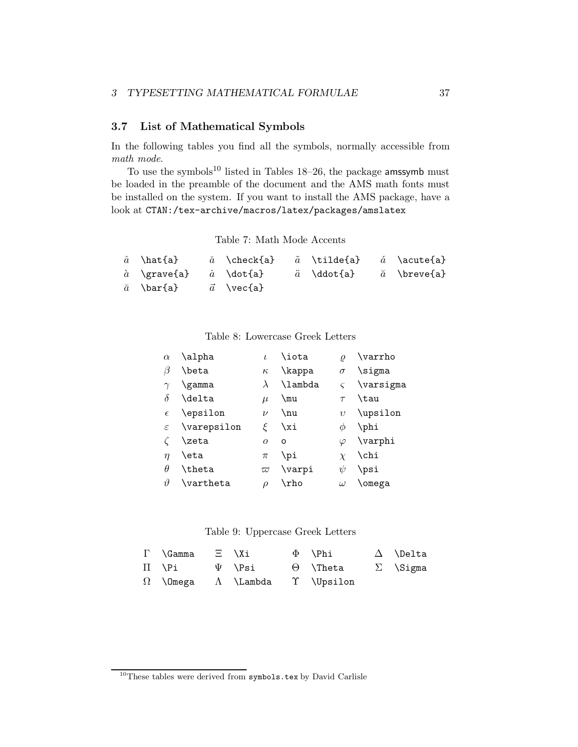### **3.7 List of Mathematical Symbols**

In the following tables you find all the symbols, normally accessible from *math mode*.

To use the symbols<sup>10</sup> listed in Tables  $18-26$ , the package amssymb must be loaded in the preamble of the document and the AMS math fonts must be installed on the system. If you want to install the AMS package, have a lookat CTAN:/tex-archive/macros/latex/packages/amslatex

Table 7: Math Mode Accents

| $\hat{a}$ \hat{a}                     | $\check{a}$ \check{a} $\tilde{a}$ \tilde{a} $\acute{a}$ \acute{a} |                                          |  |
|---------------------------------------|-------------------------------------------------------------------|------------------------------------------|--|
| $\hat{a}$ \grave{a} $\hat{a}$ \dot{a} |                                                                   | $\ddot{a}$ \ddot{a} $\ddot{a}$ \breve{a} |  |
| $\bar{a} \quad \text{bar{a}$          | $\vec{a} \quad \text{vec}\{\text{a}\}$                            |                                          |  |

Table 8: Lowercase Greek Letters

| $\alpha$      | \alpha      | L         | \iota   | $\varrho$   | \varrho   |
|---------------|-------------|-----------|---------|-------------|-----------|
| β             | \beta       | $\kappa$  | \kappa  | $\sigma$    | \sigma    |
| $\gamma$      | \gamma      | $\lambda$ | \lambda | $\varsigma$ | \varsigma |
| δ             | \delta      | $\mu$     | \mu     | $\tau$      | \tau      |
| $\epsilon$    | \epsilon    | $\nu$     | $\nu$   | $\upsilon$  | \upsilon  |
| $\varepsilon$ | \varepsilon | ۶         | \xi     | Ø           | \phi      |
|               | \zeta       | $\Omega$  | $\circ$ | $\varphi$   | \varphi   |
| $\eta$        | \eta        | $\pi$     | \pi     | $\chi$      | \chi      |
| θ             | \theta      | $\varpi$  | \varpi  | $\psi$      | \psi      |
| $\vartheta$   | \vartheta   | ρ         | \rho    | $\omega$    | \omega    |

#### Table 9: Uppercase Greek Letters

| $\Gamma$ \Gamma $\Xi$ \Xi                             |             | $\Phi$ \Phi                     | $\Delta$ \Delta |
|-------------------------------------------------------|-------------|---------------------------------|-----------------|
| $\Pi \quad \forall P$ i                               | $\Psi$ \Psi | $\Theta$ \Theta $\Sigma$ \Sigma |                 |
| $\Omega$ \Omega $\Lambda$ \Lambda $\Upsilon$ \Upsilon |             |                                 |                 |

 $^{10}\mathrm{These}$  tables were derived from  $\texttt{symbols.tex}$  by David Carlisle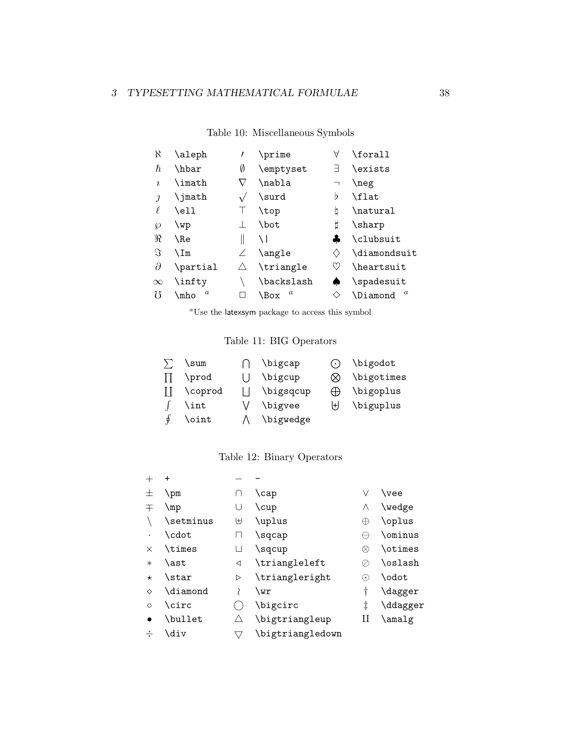| X          | \aleph                   |   | \prime                   | Α                              | \forall                      |
|------------|--------------------------|---|--------------------------|--------------------------------|------------------------------|
| ħ          | \hbar                    | Ø | \emptyset                | Ⅎ                              | \exists                      |
| $\imath$   | \imath                   |   | \nabla                   |                                | \neg                         |
| $\iota$    | \jmath                   |   | \surd                    | Þ                              | \flat                        |
| ℓ          | \ell                     |   | \top                     | þ                              | \natural                     |
| Ю          | \wp                      |   | \bot                     | ij                             | \sharp                       |
| $\Re$      | \Re                      |   | \ I                      | ፌ                              | \clubsuit                    |
| $\Im$      | ∖Im                      |   | \angle                   | $\left\langle {}\right\rangle$ | \diamondsuit                 |
| $\partial$ | \partial                 |   | \triangle                | V                              | \heartsuit                   |
| $\infty$   | \infty                   |   | \backslash               |                                | $\verb \spadesuit"$          |
| 75         | $\boldsymbol{a}$<br>\mho |   | $\boldsymbol{a}$<br>\Box | ◇                              | $\boldsymbol{a}$<br>\Diamond |
|            |                          |   |                          |                                |                              |

Table 10: Miscellaneous Symbols

*<sup>a</sup>*Use the latexsym package to access this symbol

## Table 11: BIG Operators

|   | \sum    | \bigcap   | $(\cdot)$         | \bigodot   |
|---|---------|-----------|-------------------|------------|
|   | \prod   | \bigcup   | ∞                 | \bigotimes |
|   | \coprod | \bigsqcup | $\leftrightarrow$ | \bigoplus  |
|   | \int    | \bigvee   | ŀН                | \biguplus  |
| φ | \oint   | \bigwedge |                   |            |

## Table 12: Binary Operators

|          | $\ddot{}$       |   |                  |                |                |
|----------|-----------------|---|------------------|----------------|----------------|
| 士        | \pm             |   | \cap             | V              | $\vee$ vee     |
| 干        | \mp             | U | $\cup$           | Λ              | \wedge         |
|          | \setminus       | ₩ | \uplus           | ₩              | \oplus         |
|          | \cdot           |   | \sqcap           |                | \ominus        |
| $\times$ | $\verb \times $ | П | \sqcup           | ⊗              | \otimes        |
| $\ast$   | \ast            | ◁ | \triangleleft    |                | \oslash        |
| $\star$  | \star           | ▷ | \triangleright   | $(\bm{\cdot})$ | \odot          |
| ♦        | <b>\diamond</b> |   | \wr              | t              | <b>\dagger</b> |
| $\circ$  | <b>\circ</b>    |   | \bigcirc         | ţ              | \ddagger       |
|          | \bullet         |   | \bigtriangleup   | П              | \amalg         |
|          | \div            |   | \bigtriangledown |                |                |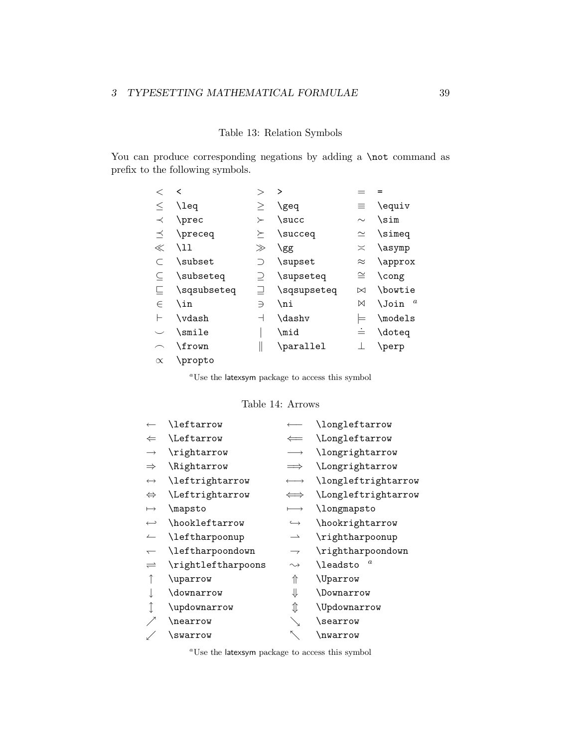### Table 13: Relation Symbols

You can produce corresponding negations by adding a \not command as prefix to the following symbols.

|           | $\overline{\phantom{a}}$ |         | ゝ           |           |                                  |
|-----------|--------------------------|---------|-------------|-----------|----------------------------------|
| $\leq$    | $\lambda$                | >       | \geq        | $\equiv$  | \equiv                           |
| $\prec$   | \prec                    | $\succ$ | $\succeq$   | $\sim$    | $\sin$                           |
| ≺         | \preceq                  | ≻       | \succeq     | $\simeq$  | \simeq                           |
| $\ll$     | \11                      | $\gg$   | \gg         | $\asymp$  | \asymp                           |
|           | \subset                  | ⊃       | \supset     | $\approx$ | \approx                          |
|           | \subseteq                |         | \supseteq   | $\cong$   | $\cong$                          |
|           | \sqsubseteq              |         | \sqsupseteq | $\bowtie$ | \bowtie                          |
| $\in$     | \in                      | ∍       | \ni         | ⋈         | $\boldsymbol{a}$<br><b>\Join</b> |
|           | \vdash                   | ᅴ       | \dashv      | ⊨         | \models                          |
|           | \smile                   |         | \mid        | ≐         | \doteq                           |
|           | \frown                   |         | \parallel   |           | \perp                            |
| $\propto$ | \propto                  |         |             |           |                                  |

*<sup>a</sup>*Use the latexsym package to access this symbol

#### Table 14: Arrows

|                          | \leftarrow         |                          | \longleftarrow      |
|--------------------------|--------------------|--------------------------|---------------------|
| $\Leftarrow$             | \Leftarrow         |                          | \Longleftarrow      |
| $\longrightarrow$        | \rightarrow        | $\rightarrow$            | \longrightarrow     |
| $\Rightarrow$            | \Rightarrow        | $\implies$               | \Longrightarrow     |
| $\longleftrightarrow$    | \leftrightarrow    | $\longleftrightarrow$    | \longleftrightarrow |
| $\Leftrightarrow$        | \Leftrightarrow    | $\iff$                   | \Longleftrightarrow |
| $\longmapsto$            | \mapsto            | $\longmapsto$            | \longmapsto         |
| $\hookrightarrow$        | \hookleftarrow     | $\hookrightarrow$        | \hookrightarrow     |
| ⊥                        | \leftharpoonup     | $\overline{\phantom{0}}$ | \rightharpoonup     |
| $\overline{\phantom{0}}$ | \leftharpoondown   | $\overline{\phantom{0}}$ | \rightharpoondown   |
| $\rightleftharpoons$     | \rightleftharpoons | $\rightsquigarrow$       | \leadsto            |
|                          | \uparrow           | ⇑                        | <b>\Uparrow</b>     |
|                          | \downarrow         | ⇓                        | \Downarrow          |
|                          | \updownarrow       | ⇕                        | \Updownarrow        |
|                          | \nearrow           |                          | \searrow            |
|                          | \swarrow           |                          | \nwarrow            |

*<sup>a</sup>*Use the latexsym package to access this symbol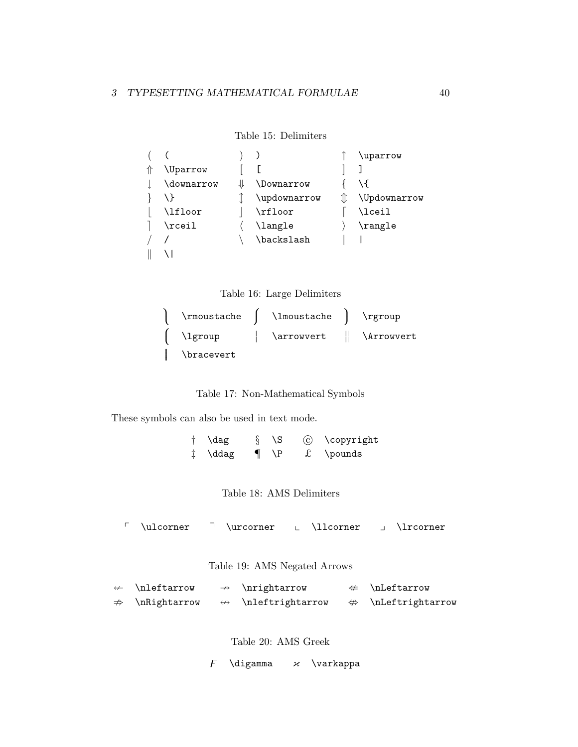```
Table 15: Delimiters
```

|                  |                | \uparrow     |
|------------------|----------------|--------------|
| \Uparrow         |                |              |
| \downarrow       | \Downarrow     |              |
|                  | \updownarrow   | \Updownarrow |
| \lfloor          | \rfloor        | \lceil       |
| $\verb \rcosi1 $ | <b>\langle</b> | \rangle      |
|                  | \backslash     |              |
|                  |                |              |



| $\verb \rm{}$     | <b>\lmoustache</b> | \rgroup    |
|-------------------|--------------------|------------|
| \lgroup           | \arrowvert         | \Arrowvert |
| <b>\bracevert</b> |                    |            |

Table 17: Non-Mathematical Symbols

These symbols can also be used in text mode.

 $\dagger$  \dag  $\S$  \S  $\odot$  \copyright ‡ \ddag ¶ \P £ \pounds

Table 18: AMS Delimiters

 $\begin{array}{ccc}\n\ulcorner & \lrcorner & \lrcorner & \lrcorner & \lrcorner & \lrcorner & \lrcorner & \lrcorner & \lrcorner & \lrcorner & \lrcorner & \lrcorner & \lrcorner & \lrcorner & \lrcorner & \lrcorner & \lrcorner & \lrcorner & \lrcorner & \lrcorner & \lrcorner & \lrcorner & \lrcorner & \lrcorner & \lrcorner & \lrcorner & \lrcorner & \lrcorner & \lrcorner & \lrcorner & \lrcorner & \lrcorner & \lrcorner & \lrcorner & \lrcorner & \lrcor$ 

Table 19: AMS Negated Arrows

| $\leftarrow$ \nleftarrow   | $\rightarrow$ \nrightarrow         | $\#$ \nLeftarrow                   |
|----------------------------|------------------------------------|------------------------------------|
| $\Rightarrow$ \nRightarrow | $\leftrightarrow$ \nleftrightarrow | $\Leftrightarrow$ \nLeftrightarrow |

Table 20: AMS Greek

 $\overline{F}$  \digamma  $\varkappa$  \varkappa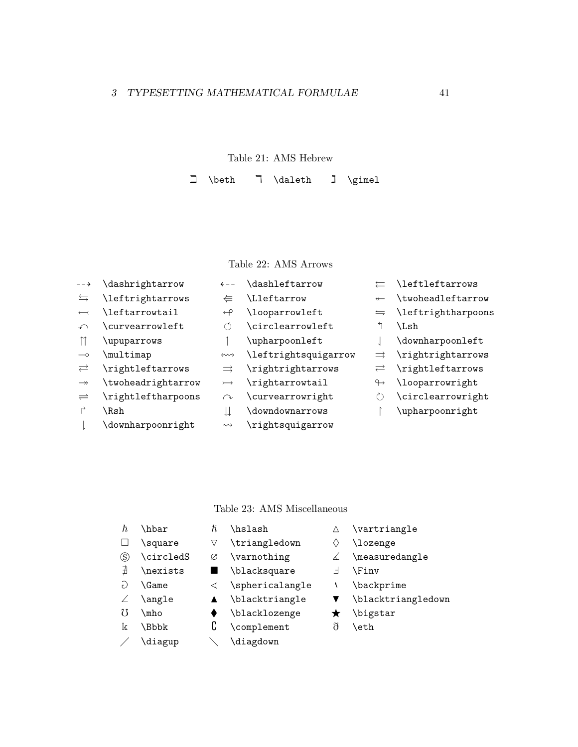## Table 21: AMS Hebrew

 $\Box$  \beth  $\overline{\phantom{a}}$   $\ddot{\phantom{a}}$   $\ddot{\phantom{a}}$   $\ddot{\phantom{a}}$   $\ddot{\phantom{a}}$   $\ddot{\phantom{a}}$   $\ddot{\phantom{a}}$   $\ddot{\phantom{a}}$   $\ddot{\phantom{a}}$   $\ddot{\phantom{a}}$   $\ddot{\phantom{a}}$   $\ddot{\phantom{a}}$   $\ddot{\phantom{a}}$   $\ddot{\phantom{a}}$   $\ddot{\phantom{a}}$   $\ddot{\phantom{a}}$   $\ddot{\phantom{a}}$   $\ddot{\phantom{a}}$   $\ddot{\$ 

## Table 22: AMS Arrows

--> \dashrightarrow ←-- \dashleftarrow  $\leftarrow$  \leftleftarrows  $\hookrightarrow$  \leftrightarrow  $\xleftarrow$  \Lleftarrow  $\xleftarrow$  \twoheadleftarrow  $\leftarrow$  \leftarrowtail  $\leftarrow$  \looparrowleft  $\leftarrow$  \leftrightharpoons  $\curvearrowleft$  \curvearrowleft  $\circ$  \circlearrowleft  $\circ$  \Lsh  $\uparrow$  \upuparrows  $\uparrow$  \upharpoonleft  $\downarrow$  \downharpoonleft → \multimap  $\rightsquigarrow$  \leftrightsquigarrow  $\Rightarrow$  \rightrightarrows \rightleftarrows ⇒ \rightrightarrows \rightleftarrows  $\rightarrow$  \twoheadrightarrow  $\rightarrow$  \rightarrowtail  $\rightarrow$  \looparrowright \rightleftharpoons  $\curvearrowright$  \curvearrowright  $\circlearrowright$  $\uparrow$  \Rsh  $\downarrow$  \downdownarrows  $\uparrow$  \upharpoonright

### Table 23: AMS Miscellaneous

- $\hbar$  \hbar  $\hbar$  \hslash  $\Delta$  \vartriangle
- $\Box$  \square  $\Box$  \triangledown  $\Diamond$  \lozenge
- 
- $\overrightarrow{a}$  \nexists  $\blacksquare$  \blacksquare  $\perp$  \Finv
- 
- 
- 
- - \diagup \diagdown
- 
- 
- $\circledS$  \circledS  $\varnothing$  \varnothing  $\measuredangle$  \measuredangle
	-
- $\partial$  \Game  $\triangle$  \sphericalangle + \backprime
- ∠ \angle < \blacktriangle < \blacktriangledown
- $\delta$  \mho  $\bullet$  \blacklozenge  $\star$  \bigstar
- k  $\Bbbk$  0 \complement  $\eth$  \eth
- 
- 
- 
- 
- 
- $\rightleftharpoons$
- 
- ! \downharpoonright " \rightsquigarrow
- 
- 
- 
- 
- 
- 
- 
- 
- 
- 
- 
-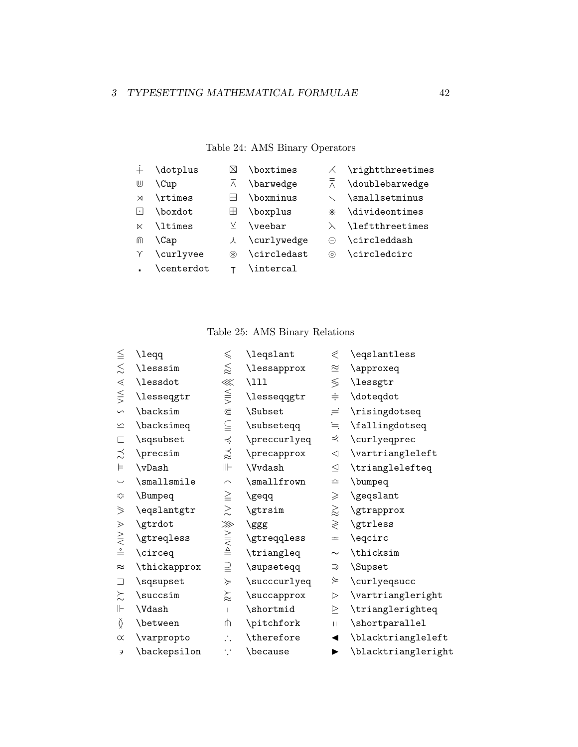## Table 24: AMS Binary Operators

|           | \dotplus   | M             | \boxtimes     |                                | $\angle$ \rightthreetimes |
|-----------|------------|---------------|---------------|--------------------------------|---------------------------|
| ⋓         | \Cup       | $\wedge$      | \barwedge     | $\overline{\overline{\wedge}}$ | \doublebarwedge           |
| $\times$  | \rtimes    |               | \boxminus     |                                | \smallsetminus            |
| $ \cdot $ | \boxdot    | Ш             | \boxplus      | ⋇                              | \divideontimes            |
| $\ltimes$ | \ltimes    | V.            | $\vee$ veebar | $\lambda$                      | \leftthreetimes           |
| ⋒         | \Cap       |               | 人 \curlywedge | $(-)$                          | \circleddash              |
|           | \curlyvee  | $\circledast$ | \circledast   | $\odot$                        | \circledcirc              |
|           | \centerdot |               | \intercal     |                                |                           |

Table 25: AMS Binary Relations

| $\leqq$                  | \leqq        | $\leqslant$                              | <b>\leqslant</b> | $\ll$            | \eqslantless        |
|--------------------------|--------------|------------------------------------------|------------------|------------------|---------------------|
| $\lesssim$               | \lesssim     | $\lesssim$                               | \lessapprox      | $\cong$          | \approxeq           |
| $\lessdot$               | \lessdot     | $\lll$                                   | $\Upsilon$       | $\leq$           | \lessgtr            |
| $\leq$                   | \lesseqgtr   | $\leqq$                                  | \lesseqqgtr      | $\div$           | \doteqdot           |
| $\sim$                   | \backsim     | $\subseteq$                              | \Subset          | $=$              | \risingdotseq       |
| $\overline{\phantom{0}}$ | \backsimeq   | $\subseteqq$                             | \subseteqq       | $=$              | \fallingdotseq      |
| Е                        | \sqsubset    | $\preccurlyeq$                           | \preccurlyeq     | ⋞                | \curlyeqprec        |
| ≾                        | \precsim     | $\stackrel{\textstyle _{\sim}}{\approx}$ | \precapprox      | $\triangleleft$  | \vartriangleleft    |
| $\models$                | \vDash       | $\mathbb{H}\mathbb{H}$                   | \Vvdash          | $\triangleq$     | \trianglelefteq     |
| $\smile$                 | \smallsmile  | $\frown$                                 | \smallfrown      | $\hat{=}$        | \bumpeq             |
| ≎                        | \Bumpeq      | $\geq$                                   | \geqq            | $\geqslant$      | \geqslant           |
| $\geqslant$              | \eqslantgtr  | $\gtrsim$                                | \gtrsim          | $\gtrapprox$     | \gtrapprox          |
| $\geqslant$              | \gtrdot      | $\ggg$                                   | \ggg             | $\geqslant$      | \gtrless            |
| $\geq$                   | \gtreqless   | $\frac{1}{2}$                            | \gtreqqless      | $\pm$            | \eqcirc             |
| $\overset{\circ}{=}$     | \circeq      |                                          | \triangleq       | $\sim$           | \thicksim           |
| $\approx$                | \thickapprox | $\supseteq$                              | \supseteqq       | ⋑                | \Supset             |
| ⊐                        | \sqsupset    | $\succcurlyeq$                           | \succcurlyeq     | $\succcurlyeq$   | \curlyeqsucc        |
| $\lesssim$               | \succsim     | $\approx$                                | \succapprox      | $\triangleright$ | \vartriangleright   |
| $\mathrel{\Vdash}$       | \Vdash       | $\mathbf{I}$                             | \shortmid        | $\geq$           | \trianglerighteq    |
| $\check{\Omega}$         | \between     | ψ                                        | \pitchfork       | $\mathbf{H}$     | \shortparallel      |
| $\propto$                | \varpropto   | $\mathcal{L}_{\mathcal{L}}$              | \therefore       | ◀                | \blacktriangleleft  |
| Э                        | \backepsilon | ∵                                        | \because         |                  | \blacktriangleright |
|                          |              |                                          |                  |                  |                     |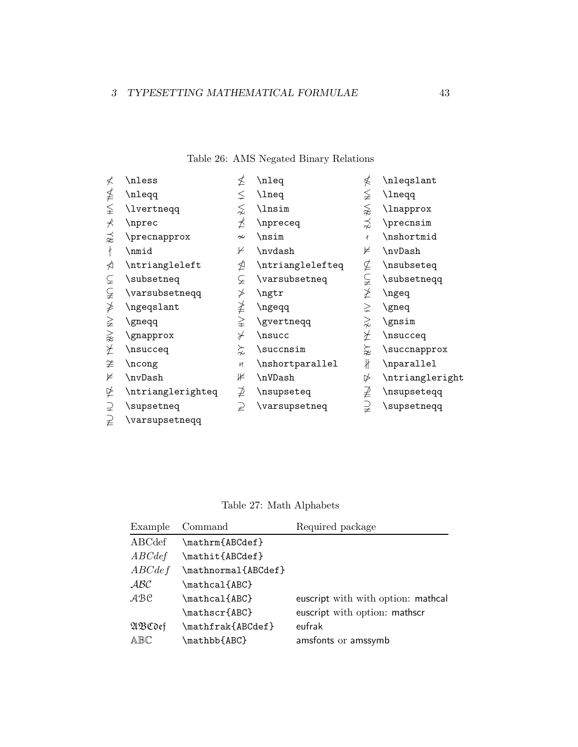## Table 26: AMS Negated Binary Relations

| ≮                        | \nless            | ≰                        | \nleq            | ≰             | \nleqslant      |
|--------------------------|-------------------|--------------------------|------------------|---------------|-----------------|
| ≸                        | \nleqq            | ≨                        | \lneq            | ≨             | \lneqq          |
| $\leqq$                  | <b>\lvertneqq</b> | ⋦                        | \lnsim           | ⋦             | \lnapprox       |
| $\overline{\mathcal{A}}$ | \nprec            | ⊀                        | \npreceq         | ⋨             | \precnsim       |
| ≉                        | $\n\gamma$        | $\sim$                   | \nsim            | ł             | \nshortmid      |
| ł                        | \nmid             | ⊬                        | \nvdash          | ⊭             | \nvDash         |
| ⋪                        | \ntriangleleft    | ⋬                        | \ntrianglelefteq | ⊈             | \nsubseteq      |
| Ë.                       | \subsetneq        | ⊊                        | \varsubsetneq    | ⊊             | \subsetneqq     |
| ⊊                        | \varsubsetneqq    | ≯                        | \ngtr            | ≱             | \ngeq           |
| ≱                        | \ngeqslant        | ≱                        | \ngeqq           | $\geq$        | \gneq           |
| ≩                        | \gneqq            | $\geqq$                  | \gvertneqq       | $\gtrapprox$  | \gnsim          |
| $\gnsim$                 | \gnapprox         | $\overline{\mathscr{C}}$ | \nsucc           | ⊁             | \nsucceq        |
| ⊁                        | \nsucceq          | $\succnsim$              | \succnsim        | ≋             | $\verb \succ $  |
| ≇                        | \ncong            | H                        | \nshortparallel  | $\frac{1}{2}$ | \nparallel      |
| ⊭                        | \nvDash           | ⊯                        | \nVDash          | ⋫             | \ntriangleright |
| ⋭                        | \ntrianglerighteq | ⊉                        | \nsupseteq       | ⊉             | \nsupseteqq     |
| ⊋                        | \supsetneq        | $\overline{2}$           | \varsupsetneq    | $\supsetneqq$ | \supsetneqq     |
| $\overrightarrow{z}$     | \varsupsetneqq    |                          |                  |               |                 |

Table 27: Math Alphabets

| Example                                                              | Command             | Required package                   |
|----------------------------------------------------------------------|---------------------|------------------------------------|
| ABCdef                                                               | \mathrm{ABCdef}     |                                    |
| $\mathcal{A}\mathcal{B}\mathcal{C}\mathcal{d}\mathcal{e}\mathcal{f}$ | \mathit{ABCdef}     |                                    |
| $\mathcal{A}BCdef$                                                   | \mathnormal{ABCdef} |                                    |
| ABC                                                                  | \mathcal{ABC}       |                                    |
| $\mathcal{A} \mathcal{B} \mathcal{C}$                                | \mathcal{ABC}       | euscript with with option: mathcal |
|                                                                      | \mathscr{ABC}       | euscript with option: mathscr      |
| ABCdef                                                               | \mathfrak{ABCdef}   | eufrak                             |
| ABC                                                                  | \mathbb{ABC}        | amsfonts or amssymb                |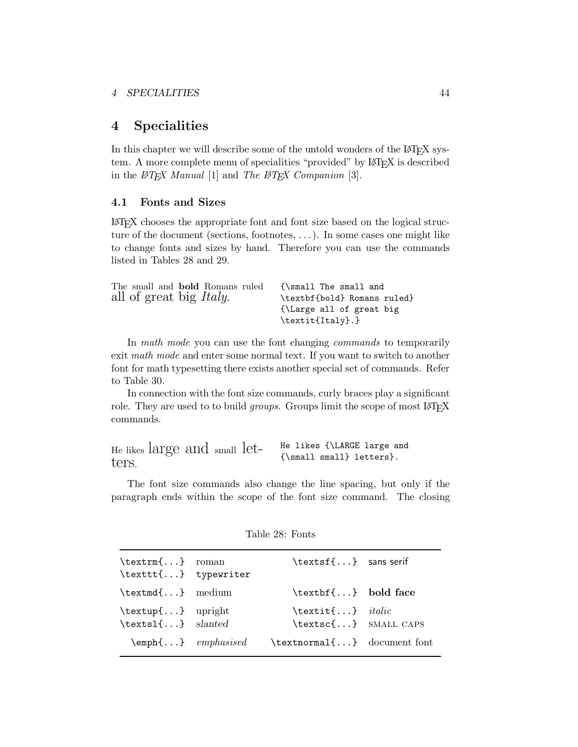## **4 Specialities**

In this chapter we will describe some of the untold wonders of the LAT<sub>E</sub>X system. A more complete menu of specialities "provided" by LAT<sub>E</sub>X is described in the *LATEX Manual* [1] and *The LATEX Companion* [3].

### **4.1 Fonts and Sizes**

LATEX chooses the appropriate font and font size based on the logical structure of the document (sections, footnotes, ...). In some cases one might like to change fonts and sizes by hand. Therefore you can use the commands listed in Tables 28 and 29.

| The small and <b>bold</b> Romans ruled | {\small The small and       |
|----------------------------------------|-----------------------------|
| all of great big <i>Italy</i> .        | \textbf{bold} Romans ruled} |
|                                        | {\Large all of great big    |
|                                        | \textit{Italy}.}            |

In *math mode* you can use the font changing *commands* to temporarily exit *math mode* and enter some normal text. If you want to switch to another font for math typesetting there exists another special set of commands. Refer to Table 30.

In connection with the font size commands, curly braces play a significant role. They are used to to build *groups*. Groups limit the scope of most LAT<sub>EX</sub> commands.

| He likes large and small let- |  |  | He likes {\LARGE large and  |
|-------------------------------|--|--|-----------------------------|
| ters.                         |  |  | ${\sumall small}$ letters}. |
|                               |  |  |                             |

The font size commands also change the line spacing, but only if the paragraph ends within the scope of the font size command. The closing

| \textrm{} roman<br>\texttt{} typewriter     | \textsf{} sans serif                                   |  |
|---------------------------------------------|--------------------------------------------------------|--|
| \textmd{} medium                            | \textbf{} bold face                                    |  |
| \textup{} upright<br>\textsl{} slanted      | $\text{texti} \quad \text{in}$<br>\textsc{} SMALL CAPS |  |
| $\text{Qemph}\{ \dots \}$ <i>emphasised</i> | $\texttt{textnormal} \{ \dots \}$ document font        |  |
|                                             |                                                        |  |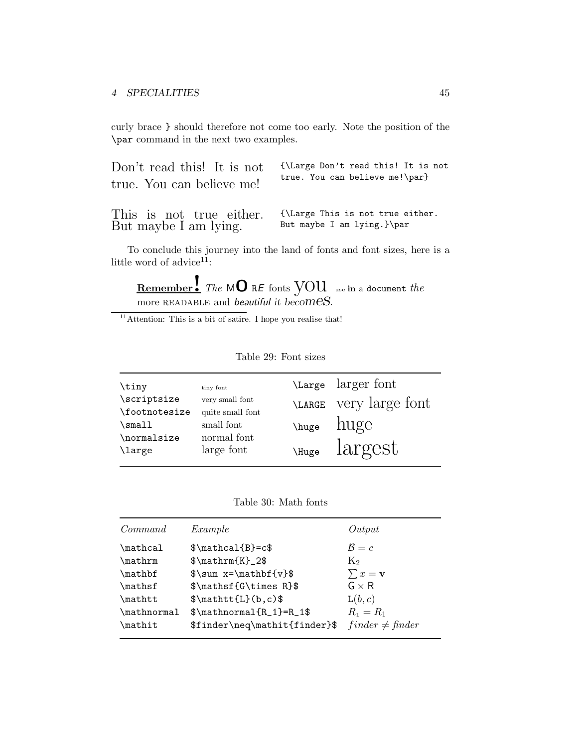curly brace } should therefore not come too early. Note the position of the \par command in the next two examples.

| Don't read this! It is not | {\Large Don't read this! It is not                        |
|----------------------------|-----------------------------------------------------------|
| true. You can believe me!  | true. You can believe me!\par}                            |
|                            | This is not true either. {\Large This is not true either. |

But maybe I am lying. But maybe I am lying.}\par

To conclude this journey into the land of fonts and font sizes, here is a little word of advice<sup>11</sup>:

**Remember!** *The* <sup>M</sup>**<sup>O</sup>** <sup>R</sup>*<sup>E</sup>* fonts you use **in** <sup>a</sup> document *the* more readable and *beautiful it becomes*.

 $11$ Attention: This is a bit of satire. I hope you realise that!

| \tiny         | tiny font        | Large larger font           |
|---------------|------------------|-----------------------------|
| \scriptsize   | very small font  | LARGE Very large font       |
| \footnotesize | quite small font |                             |
| \small        | small font       | $\mu$ ge huge               |
| \normalsize   | normal font      |                             |
| \large        | large font       | $\mu_{\text{Huge}}$ largest |
|               |                  |                             |

Table 29: Font sizes

Table 30: Math fonts

| Command     | Example                       | Output                |
|-------------|-------------------------------|-----------------------|
| \mathcal    | $\mathcal{B}=\c$              | $\mathcal{B}=c$       |
| \mathrm     | $\mathcal{K}_{2\$             | $K_2$                 |
| \mathbf     | $\sum x=\mathbf{v}$           | $\sum x = \mathbf{v}$ |
| \mathsf     | $\mathbf{G\times R}$          | $G \times R$          |
| \mathtt     | $\mathcal{L}(b,c)$            | L(b, c)               |
| \mathnormal | $\mathcal{R}_1}=R_1$ \$       | $R_1 = R_1$           |
| \mathit     | \$finder\neq\mathit{finder}\$ | $finder \neq finder$  |
|             |                               |                       |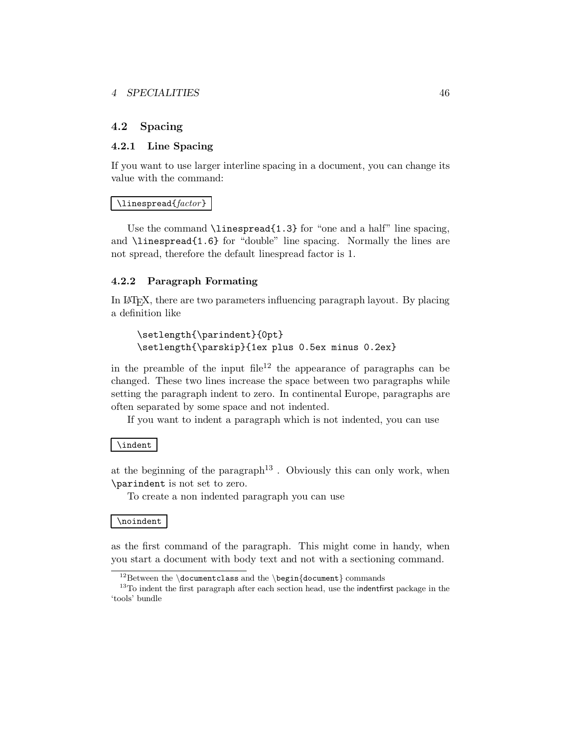### *4 SPECIALITIES* 46

### **4.2 Spacing**

### **4.2.1 Line Spacing**

If you want to use larger interline spacing in a document, you can change its value with the command:

#### \linespread{*factor*}

Use the command  $\langle$  linespread{1.3} for "one and a half" line spacing, and \linespread{1.6} for "double" line spacing. Normally the lines are not spread, therefore the default linespread factor is 1.

#### **4.2.2 Paragraph Formating**

In LATEX, there are two parameters influencing paragraph layout. By placing a definition like

```
\setlength{\parindent}{0pt}
\setlength{\parskip}{1ex plus 0.5ex minus 0.2ex}
```
in the preamble of the input  $file^{12}$  the appearance of paragraphs can be changed. These two lines increase the space between two paragraphs while setting the paragraph indent to zero. In continental Europe, paragraphs are often separated by some space and not indented.

If you want to indent a paragraph which is not indented, you can use

#### \indent

at the beginning of the paragraph<sup>13</sup>. Obviously this can only work, when \parindent is not set to zero.

To create a non indented paragraph you can use

#### \noindent

as the first command of the paragraph. This might come in handy, when you start a document with body text and not with a sectioning command.

<sup>&</sup>lt;sup>12</sup>Between the *\documentclass* and the *\begin*{document} commands  $^{13}$ To indent the first paragraph after each section head, use the indentfirst package in the 'tools' bundle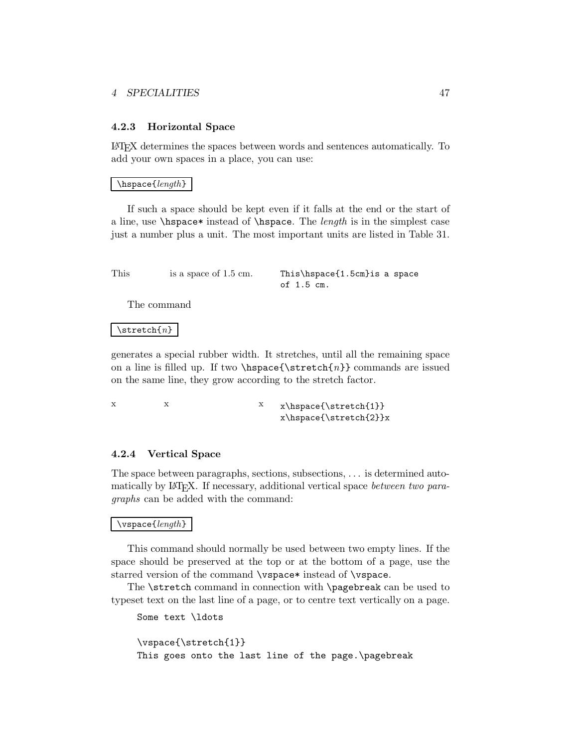### *4 SPECIALITIES* 47

#### **4.2.3 Horizontal Space**

LATEX determines the spaces between words and sentences automatically. To add your own spaces in a place, you can use:

#### \hspace{*length*}

If such a space should be kept even if it falls at the end or the start of a line, use \hspace\* instead of \hspace. The *length* is in the simplest case just a number plus a unit. The most important units are listed in Table 31.

| This | is a space of 1.5 cm. | This\hspace{1.5cm}is a space |  |
|------|-----------------------|------------------------------|--|
|      |                       | of 1.5 cm.                   |  |

The command

#### \stretch{*n*}

generates a special rubber width. It stretches, until all the remaining space on a line is filled up. If two  $\hspace{-.07cm}\text{\rm Im}\hspace{-.07cm} {\tt surface} \hspace{-.07cm}\text{\rm Im}\hspace{-.07cm} {\tt b}$  commands are issued on the same line, they grow according to the stretch factor.

xx x x\hspace{\stretch{1}} x\hspace{\stretch{2}}x

#### **4.2.4 Vertical Space**

The space between paragraphs, sections, subsections, ... is determined automatically by LATEX. If necessary, additional vertical space *between two paragraphs* can be added with the command:

#### \vspace{*length*}

This command should normally be used between two empty lines. If the space should be preserved at the top or at the bottom of a page, use the starred version of the command \vspace\* instead of \vspace.

The \stretch command in connection with \pagebreak can be used to typeset text on the last line of a page, or to centre text vertically on a page.

```
Some text \ldots
\vspace{\stretch{1}}
This goes onto the last line of the page.\pagebreak
```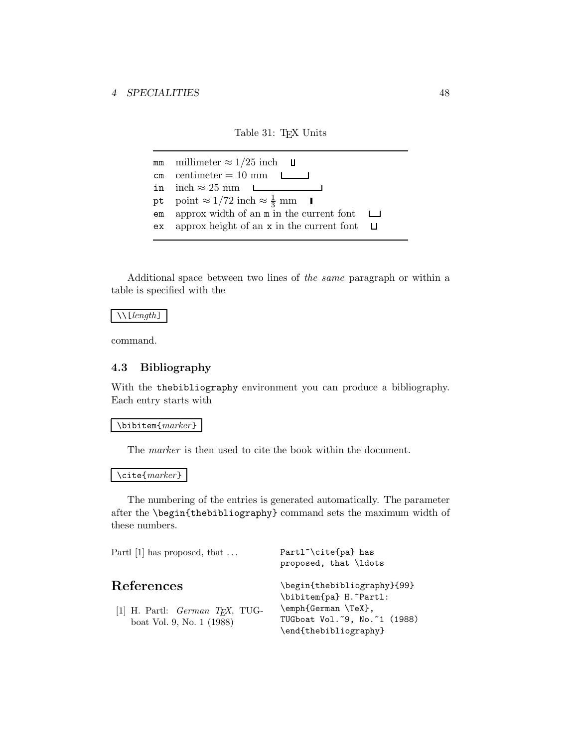### Table 31: TEX Units

mm millimeter  $\approx 1/25$  inch **U**  $cm$  centimeter = 10 mm in  $inch \approx 25$  mm ∟ pt point  $\approx 1/72$  inch  $\approx \frac{1}{3}$  mm em approx width of an m in the current font  $\Box$ ex approx height of an x in the current font  $\Box$ 

Additional space between two lines of *the same* paragraph or within a table is specified with the

\\[*length*]

command.

### **4.3 Bibliography**

With the thebibliography environment you can produce a bibliography. Each entry starts with

\bibitem{*marker*}

The *marker* is then used to cite the book within the document.

\cite{*marker*}

The numbering of the entries is generated automatically. The parameter after the \begin{thebibliography} command sets the maximum width of these numbers.

| Partl $[1]$ has proposed, that $\dots$                                        | Partl <sup>"</sup> \cite{pa} has<br>proposed, that \ldots                                                                                |
|-------------------------------------------------------------------------------|------------------------------------------------------------------------------------------------------------------------------------------|
| References<br>[1] H. Partl: $German$ $TFX, TUG-$<br>boat Vol. 9, No. 1 (1988) | \begin{thebibliography}{99}<br>\bibitem{pa} H. "Partl:<br>\emph{German \TeX},<br>TUGboat Vol. ~9, No. ~1 (1988)<br>\end{thebibliography} |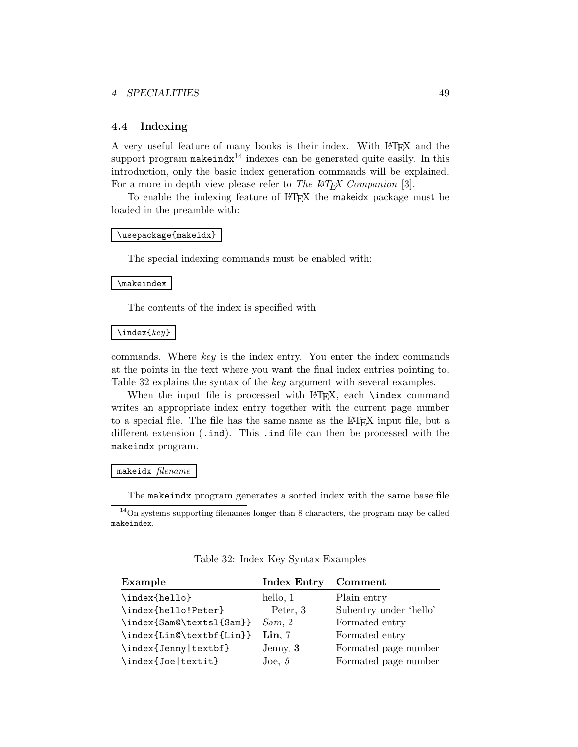#### *4 SPECIALITIES* 49

#### **4.4 Indexing**

A very useful feature of many books is their index. With LATEX and the support program makeind $x^{14}$  indexes can be generated quite easily. In this introduction, only the basic index generation commands will be explained. For a more in depth view please refer to *The LATEX Companion* [3].

To enable the indexing feature of LAT<sub>EX</sub> the makeidx package must be loaded in the preamble with:

#### \usepackage{makeidx}

The special indexing commands must be enabled with:

#### \makeindex

The contents of the index is specified with

#### \index{*key*}

commands. Where *key* is the index entry. You enter the index commands at the points in the text where you want the final index entries pointing to. Table 32 explains the syntax of the *key* argument with several examples.

When the input file is processed with LAT<sub>EX</sub>, each **\index** command writes an appropriate index entry together with the current page number to a special file. The file has the same name as the LAT<sub>EX</sub> input file, but a different extension (.ind). This .ind file can then be processed with the makeindx program.

#### makeidx *filename*

The makeindx program generates a sorted index with the same base file

<sup>14</sup>On systems supporting filenames longer than 8 characters, the program may be called makeindex.

#### Table 32: Index Key Syntax Examples

| Example                  | <b>Index Entry</b> | Comment                |
|--------------------------|--------------------|------------------------|
| \index{hello}            | hello, 1           | Plain entry            |
| \index{hello!Peter}      | Peter, 3           | Subentry under 'hello' |
| \index{Sam@\textsl{Sam}} | Sam, 2             | Formated entry         |
| \index{Lin@\textbf{Lin}} | $\mathbf{Lin}, 7$  | Formated entry         |
| \index{Jenny textbf}     | Jenny, 3           | Formated page number   |
| \index{Joe textit}       | Joe, $5$           | Formated page number   |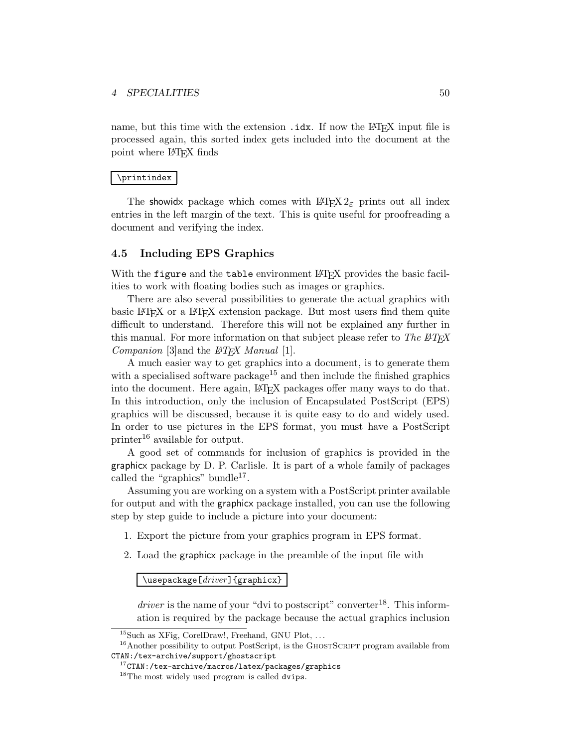name, but this time with the extension .idx. If now the LATEX input file is processed again, this sorted index gets included into the document at the point where LATEX finds

#### \printindex

The showidx package which comes with  $\text{LATEX } 2\varepsilon$  prints out all index entries in the left margin of the text. This is quite useful for proofreading a document and verifying the index.

### **4.5 Including EPS Graphics**

With the figure and the table environment LAT<sub>E</sub>X provides the basic facilities to work with floating bodies such as images or graphics.

There are also several possibilities to generate the actual graphics with basic LATEX or a LATEX extension package. But most users find them quite difficult to understand. Therefore this will not be explained any further in this manual. For more information on that subject please refer to *The*  $\mu_{T}X$ *Companion* [3]and the *LATEX Manual* [1].

A much easier way to get graphics into a document, is to generate them with a specialised software package<sup>15</sup> and then include the finished graphics into the document. Here again, LATEX packages offer many ways to do that. In this introduction, only the inclusion of Encapsulated PostScript (EPS) graphics will be discussed, because it is quite easy to do and widely used. In order to use pictures in the EPS format, you must have a PostScript printer<sup>16</sup> available for output.

A good set of commands for inclusion of graphics is provided in the graphicx package by D. P. Carlisle. It is part of a whole family of packages called the "graphics" bundle<sup>17</sup>.

Assuming you are working on a system with a PostScript printer available for output and with the graphicx package installed, you can use the following step by step guide to include a picture into your document:

- 1. Export the picture from your graphics program in EPS format.
- 2. Load the graphicx package in the preamble of the input file with

\usepackage[*driver*]{graphicx}

*driver* is the name of your "dvi to postscript" converter<sup>18</sup>. This information is required by the package because the actual graphics inclusion

<sup>&</sup>lt;sup>15</sup>Such as XFig, CorelDraw!, Freehand, GNU Plot, ...

 $16$ Another possibility to output PostScript, is the GHOSTSCRIPT program available from CTAN:/tex-archive/support/ghostscript

 $17$ CTAN:/tex-archive/macros/latex/packages/graphics

<sup>&</sup>lt;sup>18</sup>The most widely used program is called dvips.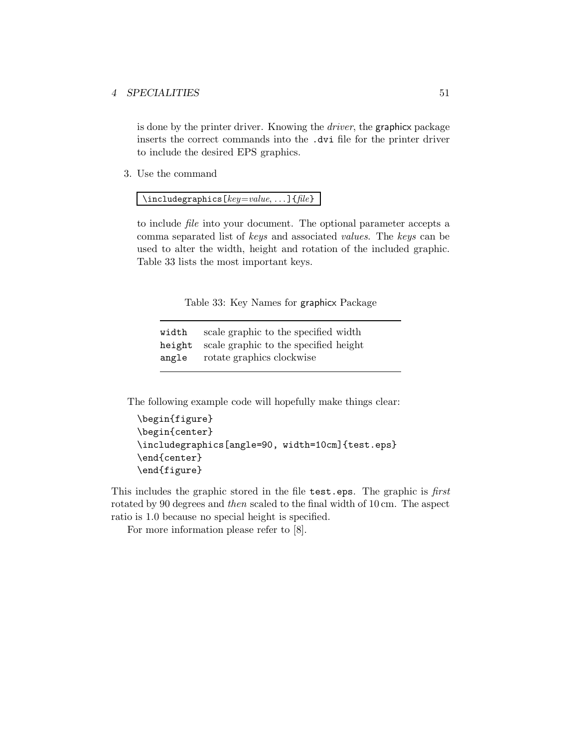### *4 SPECIALITIES* 51

is done by the printer driver. Knowing the *driver*, the graphicx package inserts the correct commands into the .dvi file for the printer driver to include the desired EPS graphics.

3. Use the command

\includegraphics[*key*=*value*, ...]{*file*}

to include *file* into your document. The optional parameter accepts a comma separated list of *keys* and associated *values*. The *keys* can be used to alter the width, height and rotation of the included graphic. Table 33 lists the most important keys.

Table 33: Key Names for graphicx Package

| width  | scale graphic to the specified width  |
|--------|---------------------------------------|
| height | scale graphic to the specified height |
| angle  | rotate graphics clockwise             |

The following example code will hopefully make things clear:

```
\begin{figure}
\begin{center}
\includegraphics[angle=90, width=10cm]{test.eps}
\end{center}
\end{figure}
```
This includes the graphic stored in the file test.eps. The graphic is *first* rotated by 90 degrees and *then* scaled to the final width of 10 cm. The aspect ratio is 1.0 because no special height is specified.

For more information please refer to [8].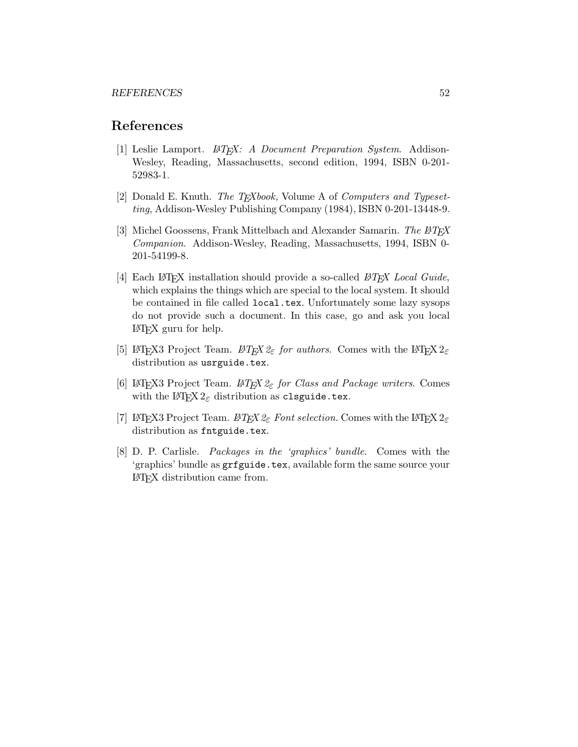## **References**

- [1] Leslie Lamport. *LATEX: A Document Preparation System*. Addison-Wesley, Reading, Massachusetts, second edition, 1994, ISBN 0-201- 52983-1.
- [2] Donald E. Knuth. *The TEXbook,* Volume A of *Computers and Typesetting*, Addison-Wesley Publishing Company (1984), ISBN 0-201-13448-9.
- [3] Michel Goossens, FrankMittelbach and Alexander Samarin. *The LATEX Companion*. Addison-Wesley, Reading, Massachusetts, 1994, ISBN 0- 201-54199-8.
- [4] Each LATEX installation should provide a so-called *LATEX Local Guide*, which explains the things which are special to the local system. It should be contained in file called local.tex. Unfortunately some lazy sysops do not provide such a document. In this case, go and askyou local LATEX guru for help.
- [5] LAT<sub>E</sub>X3 Project Team. LAT<sub>E</sub>X  $2\varepsilon$  *for authors*. Comes with the LAT<sub>E</sub>X  $2\varepsilon$ distribution as usrguide.tex.
- [6] LATEX3 Project Team. *LATEX 2*ε *for Class and Package writers*. Comes with the  $\text{LATEX } 2_{\varepsilon}$  distribution as clsguide.tex.
- [7] LAT<sub>E</sub>X3 Project Team.  $\cancel{B}TEX \, \mathcal{Z}_{\epsilon}$  Font selection. Comes with the LAT<sub>E</sub>X  $2_{\epsilon}$ distribution as fntguide.tex.
- [8] D. P. Carlisle. *Packages in the 'graphics' bundle*. Comes with the 'graphics' bundle as grfguide.tex, available form the same source your LATEX distribution came from.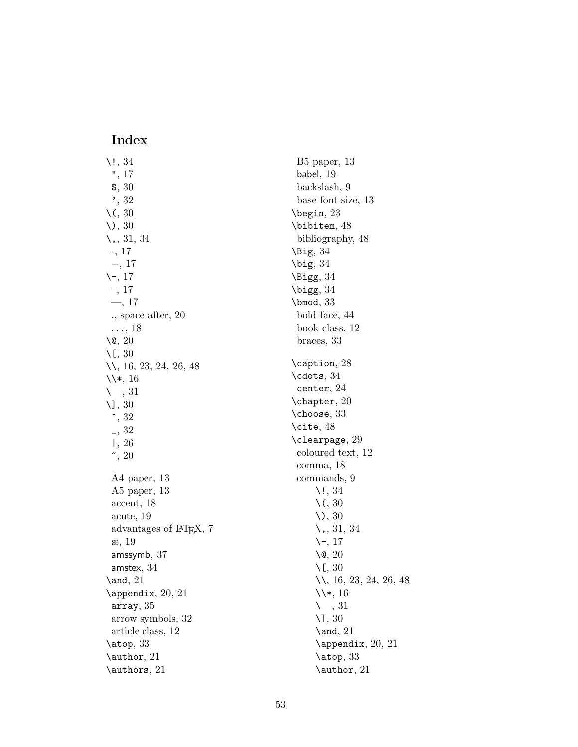## **Index**

\!, 34 ", 17 \$, 30 ', 32 \(, 30  $\setminus$ , 30 \,, 31, 34 -, 17 −, 17  $\setminus$  -, 17 –, 17 —, 17 ., space after, 20  $\ldots$ , 18  $\sqrt{0}$ , 20 \[, 30 \\, 16, 23, 24, 26, 48 \\\*, 16  $\setminus$  , 31 \], 30  $\hat{}$  , 32 \_, 32 |, 26  $\tilde{}$  , 20 A4 paper, 13 A5 paper, 13 accent, 18 acute, 19 advantages of LAT<sub>EX</sub>, 7 æ, 19 amssymb, 37 amstex, 34 \and, 21 \appendix, 20, 21 array, 35 arrow symbols, 32 article class, 12 \atop, 33 \author, 21 \authors, 21

B5 paper, 13 babel, 19 backslash, 9 base font size, 13 \begin, 23 \bibitem, 48 bibliography, 48  $\big\overline{34}$ \big, 34 \Bigg, 34 \bigg, 34 \bmod, 33 bold face, 44 book class, 12 braces, 33 \caption, 28 \cdots, 34 center, 24 \chapter, 20 \choose, 33 \cite, 48 \clearpage, 29 coloured text, 12 comma, 18 commands, 9  $\backslash$ !, 34 \(, 30 \), 30 \,, 31, 34 \-, 17 \@, 20  $\setminus$ [, 30 \\, 16, 23, 24, 26, 48 \\\*, 16  $\setminus$  , 31 \], 30 \and, 21 \appendix, 20, 21 \atop, 33 \author, 21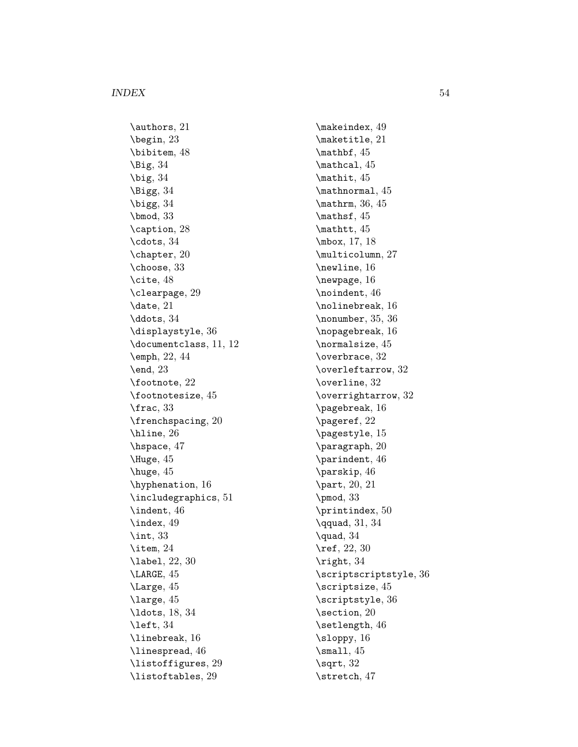\authors, 21 \begin, 23 \bibitem, 48  $\big\overline{34}$  $\big\}$  \big, 34 \Bigg, 34 \bigg, 34 \bmod, 33 \caption, 28 \cdots, 34 \chapter, 20 \choose, 33 \cite, 48 \clearpage, 29 \date, 21 \ddots, 34 \displaystyle, 36 \documentclass, 11, 12 \emph, 22, 44  $\end{$  23 \footnote, 22 \footnotesize, 45 \frac, 33 \frenchspacing, 20 \hline, 26 \hspace, 47 \Huge, 45 \huge, 45 \hyphenation, 16 \includegraphics, 51 \indent, 46 \index, 49 \int, 33 \item, 24 \label, 22, 30 \LARGE, 45 \Large, 45 \large, 45 \ldots, 18, 34 \left, 34 \linebreak, 16 \linespread, 46 \listoffigures, 29 \listoftables, 29

\makeindex, 49 \maketitle, 21 \mathbf, 45 \mathcal, 45 \mathit, 45 \mathnormal, 45 \mathrm, 36, 45 \mathsf, 45 \mathtt, 45 \mbox, 17, 18 \multicolumn, 27 \newline, 16 \newpage, 16 \noindent, 46 \nolinebreak, 16 \nonumber, 35, 36 \nopagebreak, 16 \normalsize, 45 \overbrace, 32 \overleftarrow, 32 \overline, 32 \overrightarrow, 32 \pagebreak, 16 \pageref, 22 \pagestyle, 15 \paragraph, 20 \parindent, 46 \parskip, 46 \part, 20, 21 \pmod, 33 \printindex, 50 \qquad, 31, 34 \quad, 34 \ref, 22, 30 \right, 34 \scriptscriptstyle, 36 \scriptsize, 45 \scriptstyle, 36 \section, 20 \setlength, 46 \sloppy, 16  $\mathrm{small}, 45$ \sqrt, 32 \stretch, 47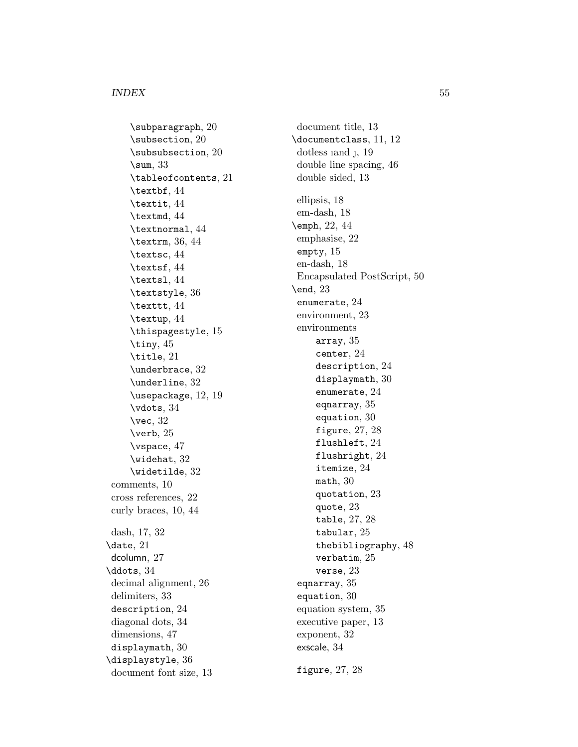## *INDEX* 55

\subparagraph, 20 \subsection, 20 \subsubsection, 20 \sum, 33 \tableofcontents, 21 \textbf, 44 \textit, 44 \textmd, 44 \textnormal, 44 \textrm, 36, 44 \textsc, 44 \textsf, 44 \textsl, 44 \textstyle, 36 \texttt, 44 \textup, 44 \thispagestyle, 15 \tiny,  $45$ \title, 21 \underbrace, 32 \underline, 32 \usepackage, 12, 19 \vdots, 34 \vec, 32 \verb, 25 \vspace, 47 \widehat, 32 \widetilde, 32 comments, 10 cross references, 22 curly braces, 10, 44 dash, 17, 32 \date, 21 dcolumn, 27 \ddots, 34 decimal alignment, 26 delimiters, 33 description, 24 diagonal dots, 34 dimensions, 47 displaymath, 30 \displaystyle, 36 document font size, 13

document title, 13 \documentclass, 11, 12 dotless iand j, 19 double line spacing, 46 double sided, 13 ellipsis, 18 em-dash, 18 \emph, 22, 44 emphasise, 22 empty, 15 en-dash, 18 Encapsulated PostScript, 50 \end, 23 enumerate, 24 environment, 23 environments array, 35 center, 24 description, 24 displaymath, 30 enumerate, 24 eqnarray, 35 equation, 30 figure, 27, 28 flushleft, 24 flushright, 24 itemize, 24 math, 30 quotation, 23 quote, 23 table, 27, 28 tabular, 25 thebibliography, 48 verbatim, 25 verse, 23 eqnarray, 35 equation, 30 equation system, 35 executive paper, 13 exponent, 32 exscale, 34 figure, 27, 28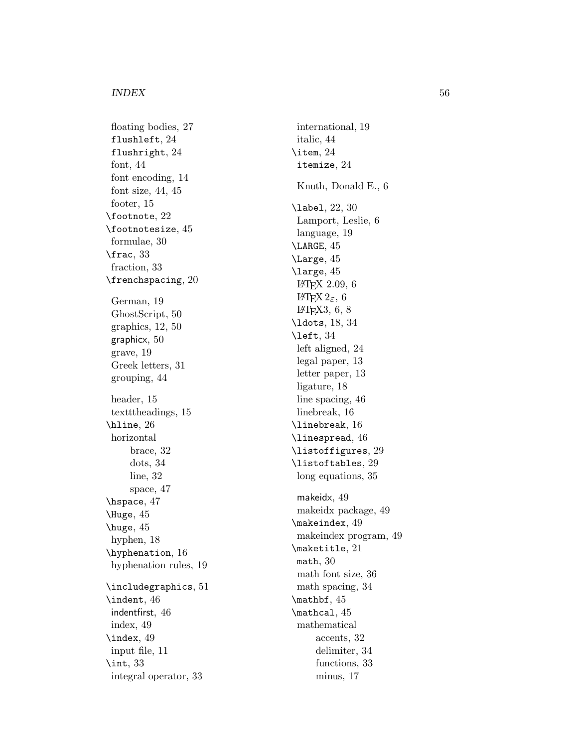floating bodies, 27 flushleft, 24 flushright, 24 font, 44 font encoding, 14 font size, 44, 45 footer, 15 \footnote, 22 \footnotesize, 45 formulae, 30 \frac, 33 fraction, 33 \frenchspacing, 20 German, 19 GhostScript, 50 graphics, 12, 50 graphicx, 50 grave, 19 Greek letters, 31 grouping, 44 header, 15 textttheadings, 15 \hline, 26 horizontal brace, 32 dots, 34 line, 32 space, 47 \hspace, 47 \Huge, 45 \huge, 45 hyphen, 18 \hyphenation, 16 hyphenation rules, 19 \includegraphics, 51 \indent, 46 indentfirst, 46 index, 49 \index, 49 input file, 11 \int, 33 integral operator, 33

international, 19 italic, 44 \item, 24 itemize, 24 Knuth, Donald E., 6 \label, 22, 30 Lamport, Leslie, 6 language, 19 \LARGE, 45 \Large, 45 \large, 45 LATEX 2.09, 6 LAT<sub>E</sub>X 2<sub>ε</sub>, 6  $LFT<sub>F</sub>X3, 6, 8$ \ldots, 18, 34 \left, 34 left aligned, 24 legal paper, 13 letter paper, 13 ligature, 18 line spacing, 46 linebreak, 16 \linebreak, 16 \linespread, 46 \listoffigures, 29 \listoftables, 29 long equations, 35 makeidx, 49 makeidx package, 49 \makeindex, 49 makeindex program, 49 \maketitle, 21 math, 30 math font size, 36 math spacing, 34 \mathbf, 45 \mathcal, 45 mathematical accents, 32 delimiter, 34 functions, 33 minus, 17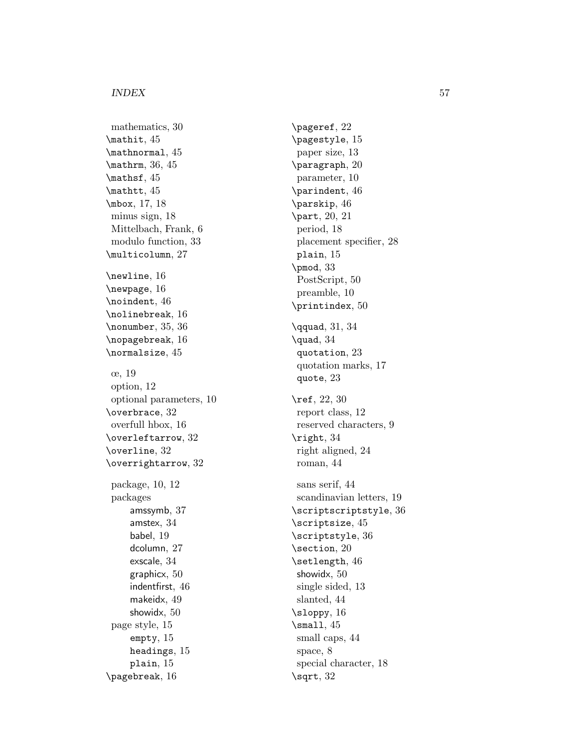## *INDEX* 57

mathematics, 30 \mathit, 45 \mathnormal, 45 \mathrm, 36, 45 \mathsf, 45 \mathtt, 45 \mbox, 17, 18 minus sign, 18 Mittelbach, Frank, 6 modulo function, 33 \multicolumn, 27 \newline, 16 \newpage, 16 \noindent, 46 \nolinebreak, 16 \nonumber, 35, 36 \nopagebreak, 16 \normalsize, 45 œ, 19 option, 12 optional parameters, 10 \overbrace, 32 overfull hbox, 16 \overleftarrow, 32 \overline, 32 \overrightarrow, 32 package, 10, 12 packages amssymb, 37 amstex, 34 babel, 19 dcolumn, 27 exscale, 34 graphicx, 50 indentfirst, 46 makeidx, 49 showidx, 50 page style, 15 empty, 15 headings, 15 plain, 15 \pagebreak, 16

\pageref, 22 \pagestyle, 15 paper size, 13 \paragraph, 20 parameter, 10 \parindent, 46 \parskip, 46 \part, 20, 21 period, 18 placement specifier, 28 plain, 15 \pmod, 33 PostScript, 50 preamble, 10 \printindex, 50 \qquad, 31, 34 \quad, 34 quotation, 23 quotation marks, 17 quote, 23 \ref, 22, 30 report class, 12 reserved characters, 9 \right, 34 right aligned, 24 roman, 44 sans serif, 44 scandinavian letters, 19 \scriptscriptstyle, 36 \scriptsize, 45 \scriptstyle, 36 \section, 20 \setlength, 46 showidx, 50 single sided, 13 slanted, 44 \sloppy, 16  $\mathrm{small}$ , 45 small caps, 44 space, 8 special character, 18 \sqrt, 32